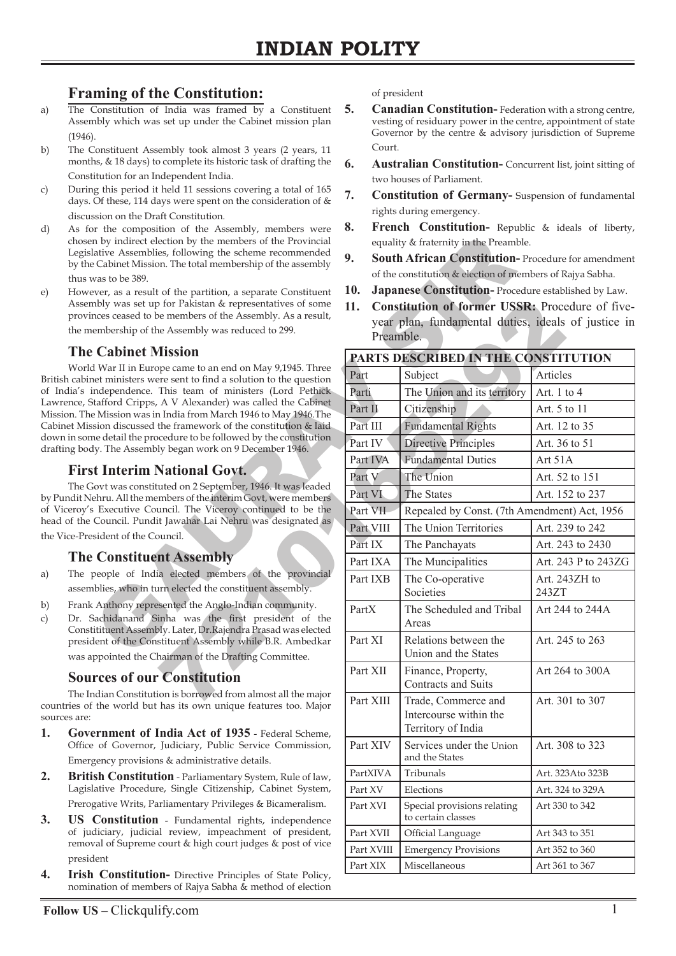# **Framing of the Constitution:**

- a) The Constitution of India was framed by a Constituent Assembly which was set up under the Cabinet mission plan (1946).
- b) The Constituent Assembly took almost 3 years (2 years, 11 months, & 18 days) to complete its historic task of drafting the Constitution for an Independent India.
- c) During this period it held 11 sessions covering a total of 165 days. Of these, 114 days were spent on the consideration of & discussion on the Draft Constitution.
- d) As for the composition of the Assembly, members were chosen by indirect election by the members of the Provincial Legislative Assemblies, following the scheme recommended by the Cabinet Mission. The total membership of the assembly thus was to be 389.
- e) However, as a result of the partition, a separate Constituent Assembly was set up for Pakistan & representatives of some provinces ceased to be members of the Assembly. As a result, the membership of the Assembly was reduced to 299.

#### **The Cabinet Mission**

World War II in Europe came to an end on May 9,1945. Three British cabinet ministers were sent to find a solution to the question of India's independence. This team of ministers (Lord Pethick Lawrence, Stafford Cripps, A V Alexander) was called the Cabinet Mission. The Mission was in India from March 1946 to May 1946.The Cabinet Mission discussed the framework of the constitution & laid down in some detail the procedure to be followed by the constitution drafting body. The Assembly began work on 9 December 1946.

# **First Interim National Govt.**

The Govt was constituted on 2 September, 1946. It was leaded by Pundit Nehru. All the members of the interim Govt, were members of Viceroy's Executive Council. The Viceroy continued to be the head of the Council. Pundit Jawahar Lai Nehru was designated as the Vice-President of the Council.

#### **The Constituent Assembly**

- a) The people of India elected members of the provincial assemblies, who in turn elected the constituent assembly.
- b) Frank Anthony represented the Anglo-Indian community.
- c) Dr. Sachidanand Sinha was the first president of the Constitituent Assembly. Later, Dr.Rajendra Prasad was elected president of the Constituent Assembly while B.R. Ambedkar was appointed the Chairman of the Drafting Committee.

# **Sources of our Constitution**

The Indian Constitution is borrowed from almost all the major countries of the world but has its own unique features too. Major sources are:

- **1. Government of India Act of 1935** Federal Scheme, Office of Governor, Judiciary, Public Service Commission, Emergency provisions & administrative details.
- **2. British Constitution** Parliamentary System, Rule of law, Lagislative Procedure, Single Citizenship, Cabinet System, Prerogative Writs, Parliamentary Privileges & Bicameralism.
- **3. US Constitution** Fundamental rights, independence of judiciary, judicial review, impeachment of president, removal of Supreme court & high court judges & post of vice president
- **4. Irish Constitution-** Directive Principles of State Policy, nomination of members of Rajya Sabha & method of election

of president

- **5. Canadian Constitution-** Federation with a strong centre, vesting of residuary power in the centre, appointment of state Governor by the centre & advisory jurisdiction of Supreme Court.
- **6. Australian Constitution-** Concurrent list, joint sitting of two houses of Parliament.
- **7. Constitution of Germany-** Suspension of fundamental rights during emergency.
- **8. French Constitution-** Republic & ideals of liberty, equality & fraternity in the Preamble.
- **9. South African Constitution-** Procedure for amendment of the constitution & election of members of Rajya Sabha.
- **10. Japanese Constitution-** Procedure established by Law.
- **11. Constitution of former USSR:** Procedure of fiveyear plan, fundamental duties, ideals of justice in Preamble.

| <i>n</i> the composition of the <i>Prosemaly</i> , members we<br>n by indirect election by the members of the Provincial<br>lative Assemblies, following the scheme recommended<br>e Cabinet Mission. The total membership of the assembly<br>vas to be 389.<br>ever, as a result of the partition, a separate Constituent<br>nbly was set up for Pakistan & representatives of some<br>nces ceased to be members of the Assembly. As a result,<br>embership of the Assembly was reduced to 299.     | 9.<br>10.<br>11.<br>Preamble.       | equality & fraternity in the Preamble.<br>South African Constitution-Procedure for amendment<br>of the constitution & election of members of Rajya Sabha.<br>Japanese Constitution-Procedure established by Law.<br>Constitution of former USSR: Procedure of five-<br>year plan, fundamental duties, ideals of justice in |                        |
|------------------------------------------------------------------------------------------------------------------------------------------------------------------------------------------------------------------------------------------------------------------------------------------------------------------------------------------------------------------------------------------------------------------------------------------------------------------------------------------------------|-------------------------------------|----------------------------------------------------------------------------------------------------------------------------------------------------------------------------------------------------------------------------------------------------------------------------------------------------------------------------|------------------------|
| <b>Cabinet Mission</b><br>d War II in Europe came to an end on May 9,1945. Three<br>net ministers were sent to find a solution to the question<br>independence. This team of ministers (Lord Pethick<br>itafford Cripps, A V Alexander) was called the Cabinet<br>e Mission was in India from March 1946 to May 1946.The<br>sion discussed the framework of the constitution & laid<br>ne detail the procedure to be followed by the constitution<br>ly. The Assembly began work on 9 December 1946. | PARTS DESCRIBED IN THE CONSTITUTION |                                                                                                                                                                                                                                                                                                                            |                        |
|                                                                                                                                                                                                                                                                                                                                                                                                                                                                                                      | Part                                | Subject                                                                                                                                                                                                                                                                                                                    | Articles               |
|                                                                                                                                                                                                                                                                                                                                                                                                                                                                                                      | Parti                               | The Union and its territory                                                                                                                                                                                                                                                                                                | Art. 1 to 4            |
|                                                                                                                                                                                                                                                                                                                                                                                                                                                                                                      | Part II                             | Citizenship                                                                                                                                                                                                                                                                                                                | Art. 5 to 11           |
|                                                                                                                                                                                                                                                                                                                                                                                                                                                                                                      | Part III                            | <b>Fundamental Rights</b>                                                                                                                                                                                                                                                                                                  | Art. 12 to 35          |
|                                                                                                                                                                                                                                                                                                                                                                                                                                                                                                      | Part IV                             | Directive Principles                                                                                                                                                                                                                                                                                                       | Art. 36 to 51          |
|                                                                                                                                                                                                                                                                                                                                                                                                                                                                                                      | Part IVA                            | <b>Fundamental Duties</b>                                                                                                                                                                                                                                                                                                  | Art 51A                |
| t Interim National Govt.                                                                                                                                                                                                                                                                                                                                                                                                                                                                             | Part V                              | The Union                                                                                                                                                                                                                                                                                                                  | Art. 52 to 151         |
| Fovt was constituted on 2 September, 1946. It was leaded<br>ehru. All the members of the interim Govt, were members                                                                                                                                                                                                                                                                                                                                                                                  | Part VI                             | The States                                                                                                                                                                                                                                                                                                                 | Art. 152 to 237        |
| Executive Council. The Viceroy continued to be the                                                                                                                                                                                                                                                                                                                                                                                                                                                   | Part VII                            | Repealed by Const. (7th Amendment) Act, 1956                                                                                                                                                                                                                                                                               |                        |
| Council. Pundit Jawahar Lai Nehru was designated as<br>sident of the Council.                                                                                                                                                                                                                                                                                                                                                                                                                        | Part VIII                           | The Union Territories                                                                                                                                                                                                                                                                                                      | Art. 239 to 242        |
|                                                                                                                                                                                                                                                                                                                                                                                                                                                                                                      | Part IX                             | The Panchayats                                                                                                                                                                                                                                                                                                             | Art. 243 to 2430       |
| <b>Constituent Assembly</b>                                                                                                                                                                                                                                                                                                                                                                                                                                                                          | Part IXA                            | The Muncipalities                                                                                                                                                                                                                                                                                                          | Art. 243 P to 243ZG    |
| people of India elected members of the provincial<br>ablies, who in turn elected the constituent assembly.                                                                                                                                                                                                                                                                                                                                                                                           | Part IXB                            | The Co-operative<br>Societies                                                                                                                                                                                                                                                                                              | Art. 243ZH to<br>243ZT |
| Anthony represented the Anglo-Indian community.<br>Sachidanand Sinha was the first president of the<br>itituent Assembly. Later, Dr.Rajendra Prasad was elected                                                                                                                                                                                                                                                                                                                                      | PartX                               | The Scheduled and Tribal<br>Areas                                                                                                                                                                                                                                                                                          | Art 244 to 244A        |
| lent of the Constituent Assembly while B.R. Ambedkar<br>ppointed the Chairman of the Drafting Committee.                                                                                                                                                                                                                                                                                                                                                                                             | Part XI                             | Relations between the<br>Union and the States                                                                                                                                                                                                                                                                              | Art. 245 to 263        |
| rces of our Constitution                                                                                                                                                                                                                                                                                                                                                                                                                                                                             | Part XII                            | Finance, Property,<br>Contracts and Suits                                                                                                                                                                                                                                                                                  | Art 264 to 300A        |
| ndian Constitution is borrowed from almost all the major<br>the world but has its own unique features too. Major<br>ernment of India Act of 1935 - Federal Scheme,                                                                                                                                                                                                                                                                                                                                   | Part XIII                           | Trade, Commerce and<br>Intercourse within the<br>Territory of India                                                                                                                                                                                                                                                        | Art. 301 to 307        |
| of Governor, Judiciary, Public Service Commission,<br>gency provisions & administrative details.                                                                                                                                                                                                                                                                                                                                                                                                     | Part XIV                            | Services under the Union<br>and the States                                                                                                                                                                                                                                                                                 | Art. 308 to 323        |
| ish Constitution - Parliamentary System, Rule of law,                                                                                                                                                                                                                                                                                                                                                                                                                                                | PartXIVA                            | Tribunals                                                                                                                                                                                                                                                                                                                  | Art. 323Ato 323B       |
| lative Procedure, Single Citizenship, Cabinet System,                                                                                                                                                                                                                                                                                                                                                                                                                                                | Part XV                             | Elections                                                                                                                                                                                                                                                                                                                  | Art. 324 to 329A       |
| gative Writs, Parliamentary Privileges & Bicameralism.                                                                                                                                                                                                                                                                                                                                                                                                                                               | Part XVI                            | Special provisions relating                                                                                                                                                                                                                                                                                                | Art 330 to 342         |
| <b>Constitution</b> - Fundamental rights, independence                                                                                                                                                                                                                                                                                                                                                                                                                                               |                                     | to certain classes                                                                                                                                                                                                                                                                                                         |                        |
| diciary, judicial review, impeachment of president,<br>val of Supreme court & high court judges & post of vice                                                                                                                                                                                                                                                                                                                                                                                       | Part XVII                           | Official Language                                                                                                                                                                                                                                                                                                          | Art 343 to 351         |
| lent                                                                                                                                                                                                                                                                                                                                                                                                                                                                                                 | Part XVIII                          | <b>Emergency Provisions</b>                                                                                                                                                                                                                                                                                                | Art 352 to 360         |
| <b>Constitution-</b> Directive Principles of State Policy,                                                                                                                                                                                                                                                                                                                                                                                                                                           | Part XIX                            | Miscellaneous                                                                                                                                                                                                                                                                                                              | Art 361 to 367         |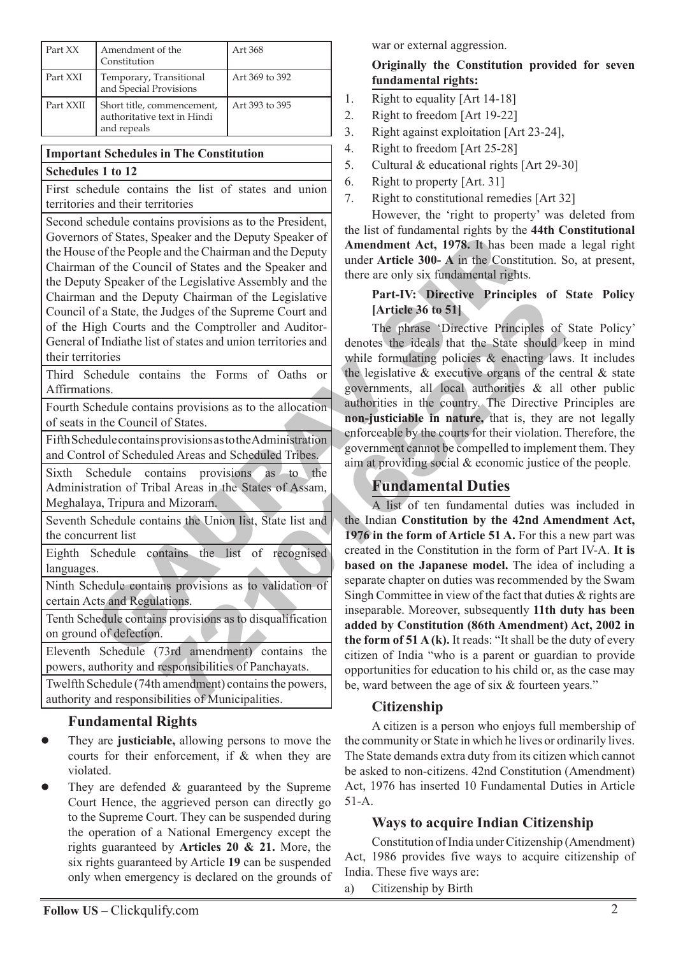| Part XX   | Amendment of the<br>Constitution                                         | Art 368        |
|-----------|--------------------------------------------------------------------------|----------------|
| Part XXI  | Temporary, Transitional<br>and Special Provisions                        | Art 369 to 392 |
| Part XXII | Short title, commencement,<br>authoritative text in Hindi<br>and repeals | Art 393 to 395 |

#### **Important Schedules in The Constitution Schedules 1 to 12**

First schedule contains the list of states and union territories and their territories

So States, Speaker and the Deputy Speaker of<br>
a Memodunent Act, 1978. It has been the Council of States and the Deputy and the Council of States and the Speaker of the Legislative Assembly and the three are only six fundam Second schedule contains provisions as to the President, Governors of States, Speaker and the Deputy Speaker of the House of the People and the Chairman and the Deputy Chairman of the Council of States and the Speaker and the Deputy Speaker of the Legislative Assembly and the Chairman and the Deputy Chairman of the Legislative Council of a State, the Judges of the Supreme Court and of the High Courts and the Comptroller and Auditor-General of Indiathe list of states and union territories and their territories

Third Schedule contains the Forms of Oaths or Affirmations.

Fourth Schedule contains provisions as to the allocation of seats in the Council of States.

Fifth Schedule contains provisions as to the Administration and Control of Scheduled Areas and Scheduled Tribes.

Sixth Schedule contains provisions as to the Administration of Tribal Areas in the States of Assam, Meghalaya, Tripura and Mizoram.

Seventh Schedule contains the Union list, State list and the concurrent list

Eighth Schedule contains the list of recognised languages.

Ninth Schedule contains provisions as to validation of certain Acts and Regulations.

Tenth Schedule contains provisions as to disqualification on ground of defection.

Eleventh Schedule (73rd amendment) contains the powers, authority and responsibilities of Panchayats.

Twelfth Schedule (74th amendment) contains the powers, authority and responsibilities of Municipalities.

# **Fundamental Rights**

- They are **justiciable,** allowing persons to move the courts for their enforcement, if & when they are violated.  $\bullet$
- They are defended & guaranteed by the Supreme Court Hence, the aggrieved person can directly go to the Supreme Court. They can be suspended during the operation of a National Emergency except the rights guaranteed by **Articles 20 & 21.** More, the six rights guaranteed by Article **19** can be suspended only when emergency is declared on the grounds of  $\bullet$

war or external aggression.

#### **Originally the Constitution provided for seven fundamental rights:**

- 1. Right to equality [Art 14-18]
- 2. Right to freedom [Art 19-22]
- 3. Right against exploitation [Art 23-24],
- 4. Right to freedom [Art 25-28]
- 5. Cultural & educational rights [Art 29-30]
- 6. Right to property [Art. 31]
- 7. Right to constitutional remedies [Art 32]

However, the 'right to property' was deleted from the list of fundamental rights by the **44th Constitutional Amendment Act, 1978.** It has been made a legal right under **Article 300- A** in the Constitution. So, at present, there are only six fundamental rights.

#### **Part-IV: Directive Principles of State Policy [Article 36 to 51]**

The phrase 'Directive Principles of State Policy' denotes the ideals that the State should keep in mind while formulating policies & enacting laws. It includes the legislative  $\&$  executive organs of the central  $\&$  state governments, all local authorities & all other public authorities in the country. The Directive Principles are **non-justiciable in nature,** that is, they are not legally enforceable by the courts for their violation. Therefore, the government cannot be compelled to implement them. They aim at providing social & economic justice of the people.

# **Fundamental Duties**

Fundamental of the Computer of States and union territories and<br>
Indices of the Supreme Court and<br>
In the Comptroller and Auditor-<br>
The phrase 'Directive Principles of<br>
to f states should union territories and<br>
while formu A list of ten fundamental duties was included in the Indian **Constitution by the 42nd Amendment Act, 1976 in the form of Article 51 A.** For this a new part was created in the Constitution in the form of Part IV-A. **It is based on the Japanese model.** The idea of including a separate chapter on duties was recommended by the Swam Singh Committee in view of the fact that duties & rights are inseparable. Moreover, subsequently **11th duty has been added by Constitution (86th Amendment) Act, 2002 in the form of 51 A (k).** It reads: "It shall be the duty of every citizen of India "who is a parent or guardian to provide opportunities for education to his child or, as the case may be, ward between the age of six & fourteen years."

# **Citizenship**

A citizen is a person who enjoys full membership of the community or State in which he lives or ordinarily lives. The State demands extra duty from its citizen which cannot be asked to non-citizens. 42nd Constitution (Amendment) Act, 1976 has inserted 10 Fundamental Duties in Article 51-A.

# **Ways to acquire Indian Citizenship**

Constitution of India under Citizenship (Amendment) Act, 1986 provides five ways to acquire citizenship of India. These five ways are:

a) Citizenship by Birth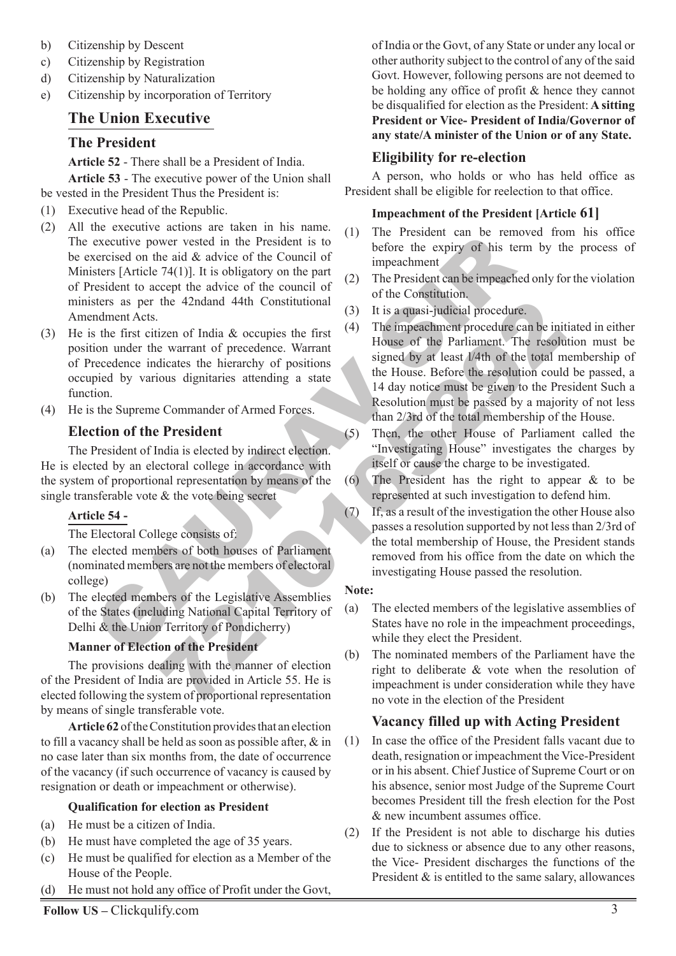- b) Citizenship by Descent
- c) Citizenship by Registration
- d) Citizenship by Naturalization
- e) Citizenship by incorporation of Territory

# **The Union Executive**

#### **The President**

**Article 52** - There shall be a President of India.

**Article 53** - The executive power of the Union shall be vested in the President Thus the President is:

- (1) Executive head of the Republic.
- executive power vested in the President is to<br>
terective dome head de advice of the Council of<br>
terective end expiry of his te<br>
sters [Article 74(1)]. It is obligatory on the part<br>
sters [Article 74(1)]. It is obligatory (2) All the executive actions are taken in his name. The executive power vested in the President is to be exercised on the aid & advice of the Council of Ministers [Article 74(1)]. It is obligatory on the part of President to accept the advice of the council of ministers as per the 42ndand 44th Constitutional Amendment Acts.
- (3) He is the first citizen of India & occupies the first position under the warrant of precedence. Warrant of Precedence indicates the hierarchy of positions occupied by various dignitaries attending a state function.
- (4) He is the Supreme Commander of Armed Forces.

# **Election of the President**

The President of India is elected by indirect election. He is elected by an electoral college in accordance with the system of proportional representation by means of the single transferable vote & the vote being secret

#### **Article 54 -**

The Electoral College consists of:

- (a) The elected members of both houses of Parliament (nominated members are not the members of electoral college)
- (b) The elected members of the Legislative Assemblies of the States (including National Capital Territory of Delhi & the Union Territory of Pondicherry)

#### **Manner of Election of the President**

The provisions dealing with the manner of election of the President of India are provided in Article 55. He is elected following the system of proportional representation by means of single transferable vote.

**Article 62** of the Constitution provides that an election to fill a vacancy shall be held as soon as possible after, & in no case later than six months from, the date of occurrence of the vacancy (if such occurrence of vacancy is caused by resignation or death or impeachment or otherwise).

#### **Qualification for election as President**

- (a) He must be a citizen of India.
- (b) He must have completed the age of 35 years.
- (c) He must be qualified for election as a Member of the House of the People.
- (d) He must not hold any office of Profit under the Govt,

of India or the Govt, of any State or under any local or other authority subject to the control of any of the said Govt. However, following persons are not deemed to be holding any office of profit & hence they cannot be disqualified for election as the President: **A sitting President or Vice- President of India/Governor of any state/A minister of the Union or of any State.**

# **Eligibility for re-election**

A person, who holds or who has held office as President shall be eligible for reelection to that office.

#### **Impeachment of the President [Article 61]**

- (1) The President can be removed from his office before the expiry of his term by the process of impeachment
- (2) The President can be impeached only for the violation of the Constitution.
- (3) It is a quasi-judicial procedure.
- 1.1 The impeachment procedure<br>
2.1 The impeachment procedure can be intigated at the term of precedence. Warrant<br>
2.3 It is a quasi-judicial procedure.<br>
2.2 The impeachment procedure can be intigated by each to positions a (4) The impeachment procedure can be initiated in either House of the Parliament. The resolution must be signed by at least l/4th of the total membership of the House. Before the resolution could be passed, a 14 day notice must be given to the President Such a Resolution must be passed by a majority of not less than 2/3rd of the total membership of the House.
	- (5) Then, the other House of Parliament called the "Investigating House" investigates the charges by itself or cause the charge to be investigated.
	- (6) The President has the right to appear & to be represented at such investigation to defend him.
	- (7) If, as a result of the investigation the other House also passes a resolution supported by not less than 2/3rd of the total membership of House, the President stands removed from his office from the date on which the investigating House passed the resolution.

#### **Note:**

- (a) The elected members of the legislative assemblies of States have no role in the impeachment proceedings, while they elect the President.
- (b) The nominated members of the Parliament have the right to deliberate & vote when the resolution of impeachment is under consideration while they have no vote in the election of the President

# **Vacancy filled up with Acting President**

- (1) In case the office of the President falls vacant due to death, resignation or impeachment the Vice-President or in his absent. Chief Justice of Supreme Court or on his absence, senior most Judge of the Supreme Court becomes President till the fresh election for the Post & new incumbent assumes office.
- (2) If the President is not able to discharge his duties due to sickness or absence due to any other reasons, the Vice- President discharges the functions of the President & is entitled to the same salary, allowances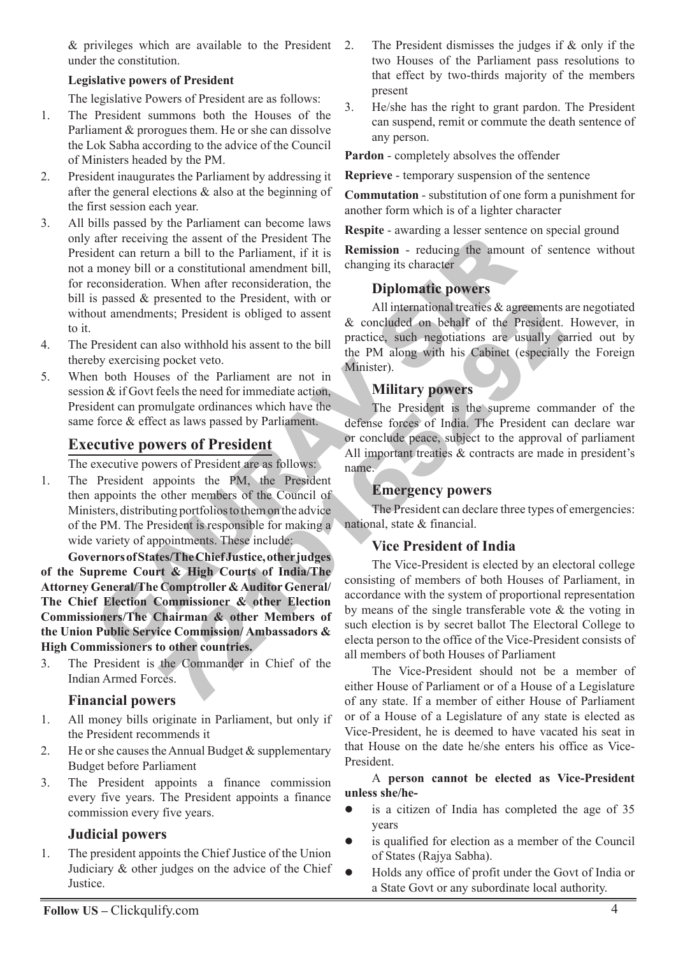$&$  privileges which are available to the President 2. under the constitution.

#### **Legislative powers of President**

The legislative Powers of President are as follows:

- 1. The President summons both the Houses of the Parliament & prorogues them. He or she can dissolve the Lok Sabha according to the advice of the Council of Ministers headed by the PM.
- 2. President inaugurates the Parliament by addressing it after the general elections & also at the beginning of the first session each year.
- after receiving the assent of the President The **Remission** reducing these<br>
dent can return a bill to the Parliament, if it is **Remission** reducing the amound<br>
monogy bill or a constitutional amendment bill, changing 3. All bills passed by the Parliament can become laws only after receiving the assent of the President The President can return a bill to the Parliament, if it is not a money bill or a constitutional amendment bill, for reconsideration. When after reconsideration, the bill is passed & presented to the President, with or without amendments; President is obliged to assent to it.
- 4. The President can also withhold his assent to the bill thereby exercising pocket veto.
- 5. When both Houses of the Parliament are not in session & if Govt feels the need for immediate action, President can promulgate ordinances which have the same force & effect as laws passed by Parliament.

# **Executive powers of President**

The executive powers of President are as follows:

1. The President appoints the PM, the President then appoints the other members of the Council of Ministers, distributing portfolios to them on the advice of the PM. The President is responsible for making a wide variety of appointments. These include:

**Governors of States/The Chief Justice, other judges of the Supreme Court & High Courts of India/The Attorney General/The Comptroller & Auditor General/ The Chief Election Commissioner & other Election Commissioners/The Chairman & other Members of the Union Public Service Commission/ Ambassadors & High Commissioners to other countries.**

3. The President is the Commander in Chief of the Indian Armed Forces.

#### **Financial powers**

- 1. All money bills originate in Parliament, but only if the President recommends it
- 2. He or she causes the Annual Budget  $\&$  supplementary Budget before Parliament
- 3. The President appoints a finance commission every five years. The President appoints a finance commission every five years.

#### **Judicial powers**

1. The president appoints the Chief Justice of the Union Judiciary & other judges on the advice of the Chief Justice.

- The President dismisses the judges if  $\&$  only if the two Houses of the Parliament pass resolutions to that effect by two-thirds majority of the members present
- 3. He/she has the right to grant pardon. The President can suspend, remit or commute the death sentence of any person.

**Pardon** - completely absolves the offender

**Reprieve** - temporary suspension of the sentence

**Commutation** - substitution of one form a punishment for another form which is of a lighter character

**Respite** - awarding a lesser sentence on special ground

**Remission** - reducing the amount of sentence without changing its character

# **Diplomatic powers**

All international treaties & agreements are negotiated & concluded on behalf of the President. However, in practice, such negotiations are usually carried out by the PM along with his Cabinet (especially the Foreign Minister).

#### **Military powers**

The President is the supreme commander of the defense forces of India. The President can declare war or conclude peace, subject to the approval of parliament All important treaties & contracts are made in president's name.

#### **Emergency powers**

The President can declare three types of emergencies: national, state & financial.

#### **Vice President of India**

Extending the President of the President of the Trestand.<br>
This, President is obliged to assent the bill<br>
also withold is assent to the bill<br>
practice, such negotiations are usually expocket veto.<br>
Exported the PM along w The Vice-President is elected by an electoral college consisting of members of both Houses of Parliament, in accordance with the system of proportional representation by means of the single transferable vote & the voting in such election is by secret ballot The Electoral College to electa person to the office of the Vice-President consists of all members of both Houses of Parliament

The Vice-President should not be a member of either House of Parliament or of a House of a Legislature of any state. If a member of either House of Parliament or of a House of a Legislature of any state is elected as Vice-President, he is deemed to have vacated his seat in that House on the date he/she enters his office as Vice-President.

A **person cannot be elected as Vice-President unless she/he-**

- is a citizen of India has completed the age of 35 years  $\bullet$
- is qualified for election as a member of the Council of States (Rajya Sabha).  $\bullet$
- Holds any office of profit under the Govt of India or a State Govt or any subordinate local authority.  $\bullet$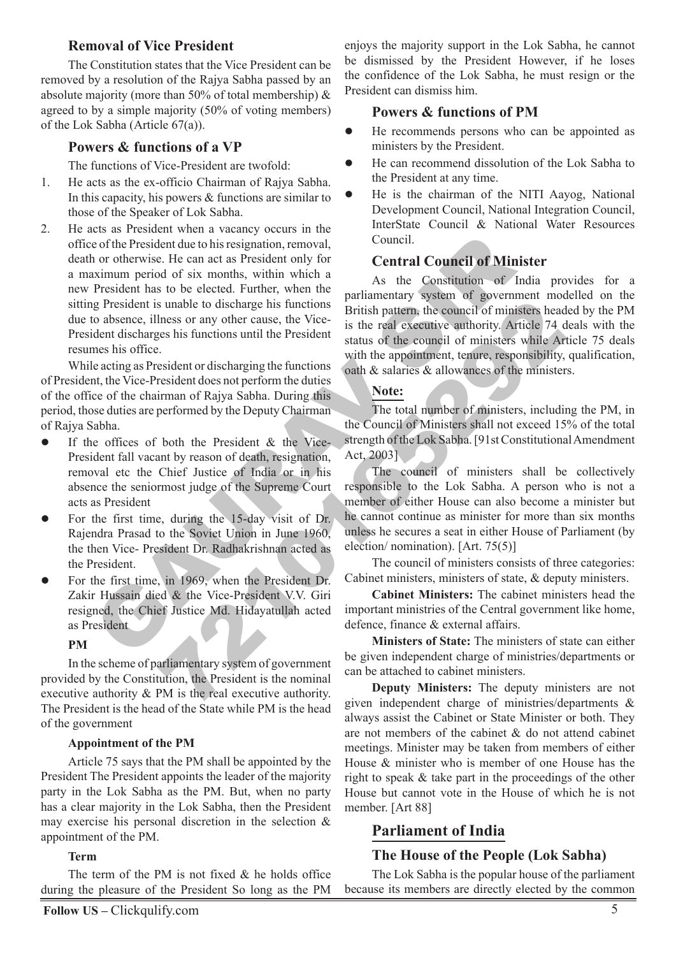#### **Removal of Vice President**

The Constitution states that the Vice President can be removed by a resolution of the Rajya Sabha passed by an absolute majority (more than 50% of total membership) & agreed to by a simple majority (50% of voting members) of the Lok Sabha (Article 67(a)).

#### **Powers & functions of a VP**

The functions of Vice-President are twofold:

- 1. He acts as the ex-officio Chairman of Rajya Sabha. In this capacity, his powers & functions are similar to those of the Speaker of Lok Sabha.
- Even when  $\alpha$  council of Minister of the President due to his resignation, removal,<br>
contril. On or otherwise. He can act as President only for<br>
Even act as President only for<br>
Even act as President in which a As the Con 2. He acts as President when a vacancy occurs in the office of the President due to his resignation, removal, death or otherwise. He can act as President only for a maximum period of six months, within which a new President has to be elected. Further, when the sitting President is unable to discharge his functions due to absence, illness or any other cause, the Vice-President discharges his functions until the President resumes his office.

While acting as President or discharging the functions of President, the Vice-President does not perform the duties of the office of the chairman of Rajya Sabha. During this period, those duties are performed by the Deputy Chairman of Rajya Sabha.

- If the offices of both the President & the Vice-President fall vacant by reason of death, resignation, removal etc the Chief Justice of India or in his absence the seniormost judge of the Supreme Court acts as President  $\bullet$
- For the first time, during the 15-day visit of Dr. Rajendra Prasad to the Soviet Union in June 1960, the then Vice- President Dr. Radhakrishnan acted as the President.  $\bullet$
- For the first time, in 1969, when the President Dr. Zakir Hussain died & the Vice-President V.V. Giri resigned, the Chief Justice Md. Hidayatullah acted as President  $\bullet$

#### **PM**

In the scheme of parliamentary system of government provided by the Constitution, the President is the nominal executive authority & PM is the real executive authority. The President is the head of the State while PM is the head of the government

#### **Appointment of the PM**

Article 75 says that the PM shall be appointed by the President The President appoints the leader of the majority party in the Lok Sabha as the PM. But, when no party has a clear majority in the Lok Sabha, then the President may exercise his personal discretion in the selection  $\&$ appointment of the PM.

#### **Term**

The term of the PM is not fixed  $\&$  he holds office during the pleasure of the President So long as the PM enjoys the majority support in the Lok Sabha, he cannot be dismissed by the President However, if he loses the confidence of the Lok Sabha, he must resign or the President can dismiss him.

#### **Powers & functions of PM**

- He recommends persons who can be appointed as ministers by the President.  $\bullet$
- He can recommend dissolution of the Lok Sabha to the President at any time.  $\bullet$
- He is the chairman of the NITI Aayog, National Development Council, National Integration Council, InterState Council & National Water Resources Council.  $\bullet$

#### **Central Council of Minister**

As the Constitution of India provides for a parliamentary system of government modelled on the British pattern, the council of ministers headed by the PM is the real executive authority. Article 74 deals with the status of the council of ministers while Article 75 deals with the appointment, tenure, responsibility, qualification, oath & salaries & allowances of the ministers.

#### **Note:**

The total number of ministers, including the PM, in the Council of Ministers shall not exceed 15% of the total strength of the Lok Sabha. [91st Constitutional Amendment Act, 2003]

simals to discharge his functions<br>
Initial pattern, the council of ministers head<br>
Insects or any other cause, the Vice-<br>
221016 State is the real executive authority. Article 74 c<br>
State is the real executive authority. A The council of ministers shall be collectively responsible to the Lok Sabha. A person who is not a member of either House can also become a minister but he cannot continue as minister for more than six months unless he secures a seat in either House of Parliament (by election/ nomination). [Art. 75(5)]

The council of ministers consists of three categories: Cabinet ministers, ministers of state, & deputy ministers.

**Cabinet Ministers:** The cabinet ministers head the important ministries of the Central government like home, defence, finance & external affairs.

**Ministers of State:** The ministers of state can either be given independent charge of ministries/departments or can be attached to cabinet ministers.

**Deputy Ministers:** The deputy ministers are not given independent charge of ministries/departments & always assist the Cabinet or State Minister or both. They are not members of the cabinet & do not attend cabinet meetings. Minister may be taken from members of either House & minister who is member of one House has the right to speak & take part in the proceedings of the other House but cannot vote in the House of which he is not member. [Art 88]

# **Parliament of India**

#### **The House of the People (Lok Sabha)**

The Lok Sabha is the popular house of the parliament because its members are directly elected by the common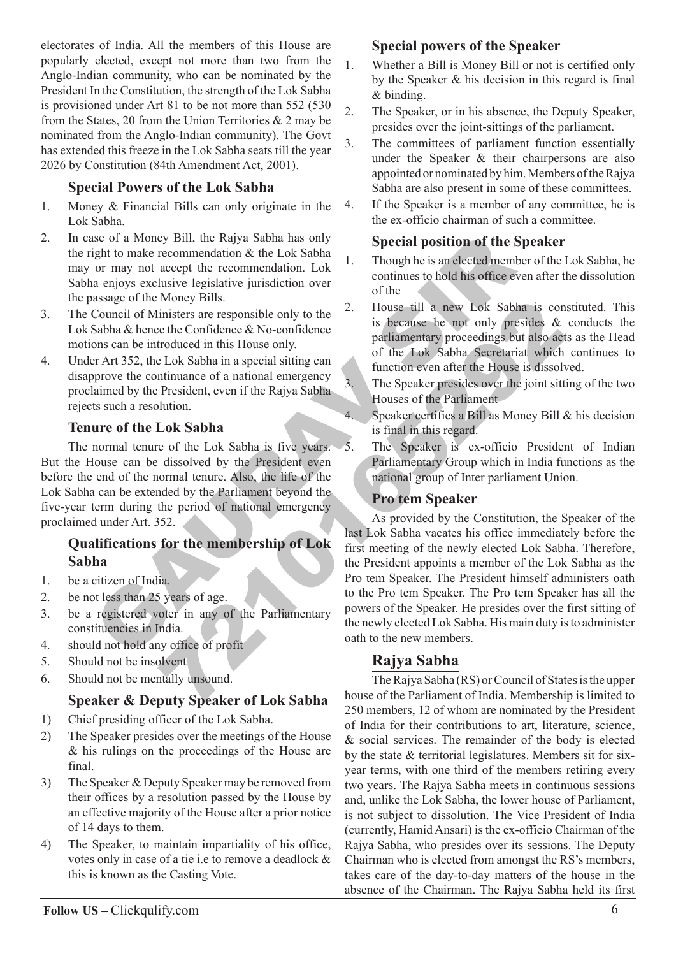electorates of India. All the members of this House are popularly elected, except not more than two from the Anglo-Indian community, who can be nominated by the President In the Constitution, the strength of the Lok Sabha is provisioned under Art 81 to be not more than 552 (530 from the States, 20 from the Union Territories  $\&$  2 may be nominated from the Anglo-Indian community). The Govt has extended this freeze in the Lok Sabha seats till the year 2026 by Constitution (84th Amendment Act, 2001).

# **Special Powers of the Lok Sabha**

- 1. Money & Financial Bills can only originate in the Lok Sabha.
- 2. In case of a Money Bill, the Rajya Sabha has only the right to make recommendation & the Lok Sabha may or may not accept the recommendation. Lok Sabha enjoys exclusive legislative jurisdiction over the passage of the Money Bills.
- 3. The Council of Ministers are responsible only to the Lok Sabha & hence the Confidence & No-confidence motions can be introduced in this House only.
- 4. Under Art 352, the Lok Sabha in a special sitting can disapprove the continuance of a national emergency proclaimed by the President, even if the Rajya Sabha rejects such a resolution.

# **Tenure of the Lok Sabha**

The normal tenure of the Lok Sabha is five years. But the House can be dissolved by the President even before the end of the normal tenure. Also, the life of the Lok Sabha can be extended by the Parliament beyond the five-year term during the period of national emergency proclaimed under Art. 352.

# **Qualifications for the membership of Lok Sabha**

- 1. be a citizen of India.
- 2. be not less than 25 years of age.
- 3. be a registered voter in any of the Parliamentary constituencies in India.
- 4. should not hold any office of profit
- 5. Should not be insolvent
- 6. Should not be mentally unsound.

# **Speaker & Deputy Speaker of Lok Sabha**

- 1) Chief presiding officer of the Lok Sabha.
- 2) The Speaker presides over the meetings of the House & his rulings on the proceedings of the House are final.
- 3) The Speaker & Deputy Speaker may be removed from their offices by a resolution passed by the House by an effective majority of the House after a prior notice of 14 days to them.
- 4) The Speaker, to maintain impartiality of his office, votes only in case of a tie i.e to remove a deadlock & this is known as the Casting Vote.

# **Special powers of the Speaker**

- 1. Whether a Bill is Money Bill or not is certified only by the Speaker & his decision in this regard is final & binding.
- 2. The Speaker, or in his absence, the Deputy Speaker, presides over the joint-sittings of the parliament.
- 3. The committees of parliament function essentially under the Speaker & their chairpersons are also appointed or nominated by him. Members of the Rajya Sabha are also present in some of these committees.
- 4. If the Speaker is a member of any committee, he is the ex-officio chairman of such a committee.

# **Special position of the Speaker**

- 1. Though he is an elected member of the Lok Sabha, he continues to hold his office even after the dissolution of the
- 2. House till a new Lok Sabha is constituted. This is because he not only presides & conducts the parliamentary proceedings but also acts as the Head of the Lok Sabha Secretariat which continues to function even after the House is dissolved.
- 3. The Speaker presides over the joint sitting of the two Houses of the Parliament
- 4. Speaker certifies a Bill as Money Bill & his decision is final in this regard.
- 5. The Speaker is ex-officio President of Indian Parliamentary Group which in India functions as the national group of Inter parliament Union.

# **Pro tem Speaker**

Second Money Bill, the Rajya Sabha has only<br>
Special position of the 1<br>
gight to make recommendation & the Lok Sabha<br>
are recommendation at the Lok Sabha<br>
are responsible only to the<br>
are or may not accept the recommendati For the Ray and Society of the Tarlianmentary<br>
This because the partial and the confidence is because the confidence  $\&$  Do-confidence<br>
The stable and special stituting can<br>
troduced in this House only.<br>
The Shaba in a As provided by the Constitution, the Speaker of the last Lok Sabha vacates his office immediately before the first meeting of the newly elected Lok Sabha. Therefore, the President appoints a member of the Lok Sabha as the Pro tem Speaker. The President himself administers oath to the Pro tem Speaker. The Pro tem Speaker has all the powers of the Speaker. He presides over the first sitting of the newly elected Lok Sabha. His main duty is to administer oath to the new members.

# **Rajya Sabha**

The Rajya Sabha (RS) or Council of States is the upper house of the Parliament of India. Membership is limited to 250 members, 12 of whom are nominated by the President of India for their contributions to art, literature, science, & social services. The remainder of the body is elected by the state & territorial legislatures. Members sit for sixyear terms, with one third of the members retiring every two years. The Rajya Sabha meets in continuous sessions and, unlike the Lok Sabha, the lower house of Parliament, is not subject to dissolution. The Vice President of India (currently, Hamid Ansari) is the ex-officio Chairman of the Rajya Sabha, who presides over its sessions. The Deputy Chairman who is elected from amongst the RS's members, takes care of the day-to-day matters of the house in the absence of the Chairman. The Rajya Sabha held its first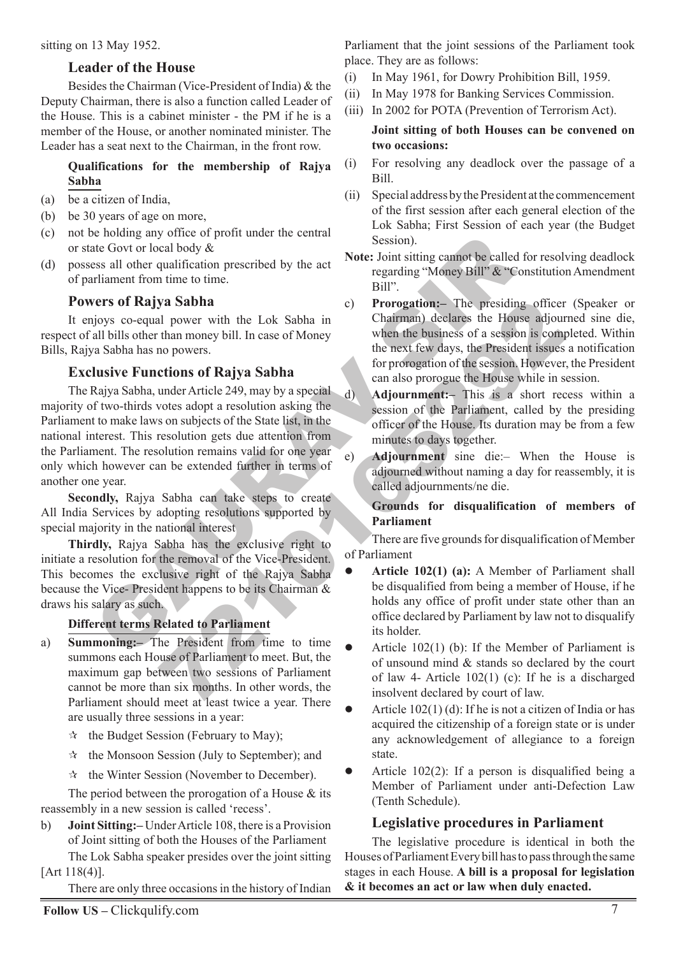sitting on 13 May 1952.

#### **Leader of the House**

Besides the Chairman (Vice-President of India) & the Deputy Chairman, there is also a function called Leader of the House. This is a cabinet minister - the PM if he is a member of the House, or another nominated minister. The Leader has a seat next to the Chairman, in the front row.

#### **Qualifications for the membership of Rajya Sabha**

- (a) be a citizen of India,
- (b) be 30 years of age on more,
- (c) not be holding any office of profit under the central or state Govt or local body &
- (d) possess all other qualification prescribed by the act of parliament from time to time.

# **Powers of Rajya Sabha**

It enjoys co-equal power with the Lok Sabha in respect of all bills other than money bill. In case of Money Bills, Rajya Sabha has no powers.

# **Exclusive Functions of Rajya Sabha**

is not<br>all of the Covid and Session and Session and Session and Session and Session and the covid body &<br>
Example and the qualification prescribed by the act Note: Joint sitting cannot be called<br>
regarding "Money Bill".<br> **Example the Sabha in the Sabha in the Sabha in the same is the same of Money<br>
The mean of Sabha in the business of a session is computed than money bill. In case of Money<br>
the mext few days, the President issues<br>
the mex** The Rajya Sabha, under Article 249, may by a special majority of two-thirds votes adopt a resolution asking the Parliament to make laws on subjects of the State list, in the national interest. This resolution gets due attention from the Parliament. The resolution remains valid for one year only which however can be extended further in terms of another one year.

**Secondly,** Rajya Sabha can take steps to create All India Services by adopting resolutions supported by special majority in the national interest

**Thirdly,** Rajya Sabha has the exclusive right to initiate a resolution for the removal of the Vice-President. This becomes the exclusive right of the Rajya Sabha because the Vice- President happens to be its Chairman & draws his salary as such.

#### **Different terms Related to Parliament**

- a) **Summoning:–** The President from time to time summons each House of Parliament to meet. But, the maximum gap between two sessions of Parliament cannot be more than six months. In other words, the Parliament should meet at least twice a year. There are usually three sessions in a year:
	- the Budget Session (February to May);  $\frac{1}{\sqrt{2}}$
	- the Monsoon Session (July to September); and  $\sum_{i=1}^{N}$
	- $\star$  the Winter Session (November to December).

The period between the prorogation of a House & its reassembly in a new session is called 'recess'.

b) **Joint Sitting:–** Under Article 108, there is a Provision of Joint sitting of both the Houses of the Parliament The Lok Sabha speaker presides over the joint sitting

[Art 118(4)].

There are only three occasions in the history of Indian

Parliament that the joint sessions of the Parliament took place. They are as follows:

- (i) In May 1961, for Dowry Prohibition Bill, 1959.
- (ii) In May 1978 for Banking Services Commission.
- (iii) In 2002 for POTA (Prevention of Terrorism Act).

#### **Joint sitting of both Houses can be convened on two occasions:**

- (i) For resolving any deadlock over the passage of a Bill.
- (ii) Special address by the President at the commencement of the first session after each general election of the Lok Sabha; First Session of each year (the Budget Session).
- **Note:** Joint sitting cannot be called for resolving deadlock regarding "Money Bill" & "Constitution Amendment Bill".
- c) **Prorogation:–** The presiding officer (Speaker or Chairman) declares the House adjourned sine die, when the business of a session is completed. Within the next few days, the President issues a notification for prorogation of the session. However, the President can also prorogue the House while in session.

d) **Adjournment:–** This is a short recess within a session of the Parliament, called by the presiding officer of the House. Its duration may be from a few minutes to days together.

e) **Adjournment** sine die:– When the House is adjourned without naming a day for reassembly, it is called adjournments/ne die.

#### **Grounds for disqualification of members of Parliament**

There are five grounds for disqualification of Member of Parliament

- **Article 102(1) (a):** A Member of Parliament shall be disqualified from being a member of House, if he holds any office of profit under state other than an office declared by Parliament by law not to disqualify its holder.  $\bullet$
- Article 102(1) (b): If the Member of Parliament is of unsound mind & stands so declared by the court of law 4- Article 102(1) (c): If he is a discharged insolvent declared by court of law.  $\bullet$
- Article 102(1) (d): If he is not a citizen of India or has acquired the citizenship of a foreign state or is under any acknowledgement of allegiance to a foreign state.  $\bullet$
- Article 102(2): If a person is disqualified being a Member of Parliament under anti-Defection Law (Tenth Schedule).  $\bullet$

#### **Legislative procedures in Parliament**

The legislative procedure is identical in both the Houses of Parliament Every bill has to pass through the same stages in each House. **A bill is a proposal for legislation & it becomes an act or law when duly enacted.**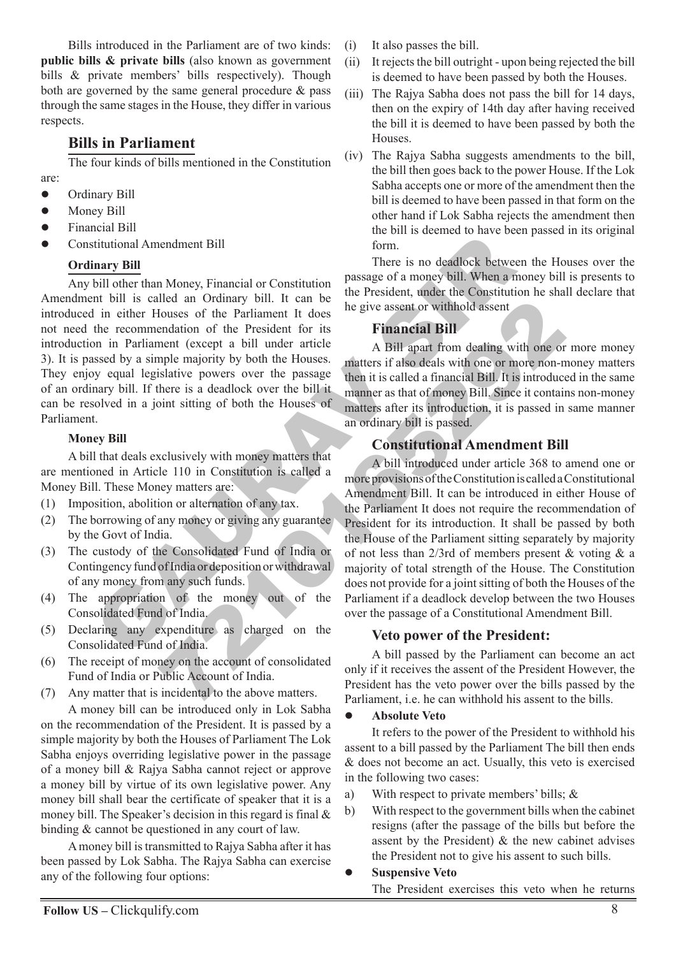Bills introduced in the Parliament are of two kinds: **public bills & private bills** (also known as government bills & private members' bills respectively). Though both are governed by the same general procedure & pass through the same stages in the House, they differ in various respects.

# **Bills in Parliament**

The four kinds of bills mentioned in the Constitution are:

- Ordinary Bill  $\bullet$
- Money Bill  $\bullet$
- Financial Bill  $\bullet$
- Constitutional Amendment Bill  $\bullet$

#### **Ordinary Bill**

Example 11 and Monet The Solution of the Partial method is a control of the Partial method is called an Ordinary bill. It can be the President udent the Constitution in Partial method is expected to the President the Const Any bill other than Money, Financial or Constitution Amendment bill is called an Ordinary bill. It can be introduced in either Houses of the Parliament It does not need the recommendation of the President for its introduction in Parliament (except a bill under article 3). It is passed by a simple majority by both the Houses. They enjoy equal legislative powers over the passage of an ordinary bill. If there is a deadlock over the bill it can be resolved in a joint sitting of both the Houses of Parliament.

#### **Money Bill**

A bill that deals exclusively with money matters that are mentioned in Article 110 in Constitution is called a Money Bill. These Money matters are:

- (1) Imposition, abolition or alternation of any tax.
- (2) The borrowing of any money or giving any guarantee by the Govt of India.
- (3) The custody of the Consolidated Fund of India or Contingency fund of India or deposition or withdrawal of any money from any such funds.
- (4) The appropriation of the money out of the Consolidated Fund of India.
- (5) Declaring any expenditure as charged on the Consolidated Fund of India.
- (6) The receipt of money on the account of consolidated Fund of India or Public Account of India.
- (7) Any matter that is incidental to the above matters.

A money bill can be introduced only in Lok Sabha on the recommendation of the President. It is passed by a simple majority by both the Houses of Parliament The Lok Sabha enjoys overriding legislative power in the passage of a money bill & Rajya Sabha cannot reject or approve a money bill by virtue of its own legislative power. Any money bill shall bear the certificate of speaker that it is a money bill. The Speaker's decision in this regard is final & binding & cannot be questioned in any court of law.

A money bill is transmitted to Rajya Sabha after it has been passed by Lok Sabha. The Rajya Sabha can exercise any of the following four options:

- (i) It also passes the bill.
- (ii) It rejects the bill outright upon being rejected the bill is deemed to have been passed by both the Houses.
- (iii) The Rajya Sabha does not pass the bill for 14 days, then on the expiry of 14th day after having received the bill it is deemed to have been passed by both the Houses.
- (iv) The Rajya Sabha suggests amendments to the bill, the bill then goes back to the power House. If the Lok Sabha accepts one or more of the amendment then the bill is deemed to have been passed in that form on the other hand if Lok Sabha rejects the amendment then the bill is deemed to have been passed in its original form.

There is no deadlock between the Houses over the passage of a money bill. When a money bill is presents to the President, under the Constitution he shall declare that he give assent or withhold assent

# **Financial Bill**

A Bill apart from dealing with one or more money matters if also deals with one or more non-money matters then it is called a financial Bill. It is introduced in the same manner as that of money Bill. Since it contains non-money matters after its introduction, it is passed in same manner an ordinary bill is passed.

# **Constitutional Amendment Bill**

From Ordinary bin! The can be the piece assent or withhold assent<br>
From Editor of the President Ir does<br>
not (second to the President Ir does<br>
not (second to the President for its<br>
median spatial under article as a distrib A bill introduced under article 368 to amend one or more provisions of the Constitution is called a Constitutional Amendment Bill. It can be introduced in either House of the Parliament It does not require the recommendation of President for its introduction. It shall be passed by both the House of the Parliament sitting separately by majority of not less than 2/3rd of members present & voting  $\&$  a majority of total strength of the House. The Constitution does not provide for a joint sitting of both the Houses of the Parliament if a deadlock develop between the two Houses over the passage of a Constitutional Amendment Bill.

#### **Veto power of the President:**

A bill passed by the Parliament can become an act only if it receives the assent of the President However, the President has the veto power over the bills passed by the Parliament, i.e. he can withhold his assent to the bills.

#### **Absolute Veto**  $\bullet$

It refers to the power of the President to withhold his assent to a bill passed by the Parliament The bill then ends & does not become an act. Usually, this veto is exercised in the following two cases:

- a) With respect to private members' bills; &
- b) With respect to the government bills when the cabinet resigns (after the passage of the bills but before the assent by the President) & the new cabinet advises the President not to give his assent to such bills.
- **Suspensive Veto**  $\bullet$

The President exercises this veto when he returns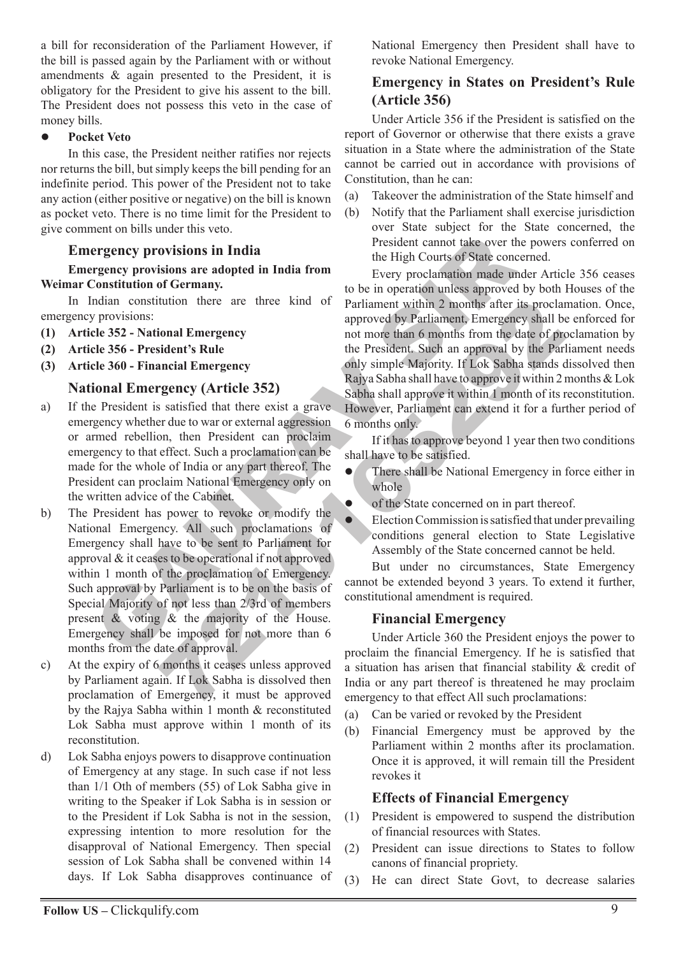a bill for reconsideration of the Parliament However, if the bill is passed again by the Parliament with or without amendments & again presented to the President, it is obligatory for the President to give his assent to the bill. The President does not possess this veto in the case of money bills.

#### **Pocket Veto**  $\bullet$

In this case, the President neither ratifies nor rejects nor returns the bill, but simply keeps the bill pending for an indefinite period. This power of the President not to take any action (either positive or negative) on the bill is known as pocket veto. There is no time limit for the President to give comment on bills under this veto.

# **Emergency provisions in India**

#### **Emergency provisions are adopted in India from Weimar Constitution of Germany.**

In Indian constitution there are three kind of emergency provisions:

- **(1) Article 352 National Emergency**
- **(2) Article 356 President's Rule**
- **(3) Article 360 Financial Emergency**

#### **National Emergency (Article 352)**

- a) If the President is satisfied that there exist a grave emergency whether due to war or external aggression or armed rebellion, then President can proclaim emergency to that effect. Such a proclamation can be made for the whole of India or any part thereof. The President can proclaim National Emergency only on the written advice of the Cabinet.
- Every provisions in India<br>
Fregnery provisions in India<br>
Fregnery provisions are adopted in India<br>
Tregnery provisions are adopted in India<br>
Constitution of Germany.<br>
Local Constitution there are three kind of Parliament b) The President has power to revoke or modify the National Emergency. All such proclamations of Emergency shall have to be sent to Parliament for approval & it ceases to be operational if not approved within 1 month of the proclamation of Emergency. Such approval by Parliament is to be on the basis of Special Majority of not less than 2/3rd of members present & voting & the majority of the House. Emergency shall be imposed for not more than 6 months from the date of approval.
- c) At the expiry of 6 months it ceases unless approved by Parliament again. If Lok Sabha is dissolved then proclamation of Emergency, it must be approved by the Rajya Sabha within 1 month & reconstituted Lok Sabha must approve within 1 month of its reconstitution.
- d) Lok Sabha enjoys powers to disapprove continuation of Emergency at any stage. In such case if not less than 1/1 Oth of members (55) of Lok Sabha give in writing to the Speaker if Lok Sabha is in session or to the President if Lok Sabha is not in the session, expressing intention to more resolution for the disapproval of National Emergency. Then special session of Lok Sabha shall be convened within 14 days. If Lok Sabha disapproves continuance of

National Emergency then President shall have to revoke National Emergency.

# **Emergency in States on President's Rule (Article 356)**

Under Article 356 if the President is satisfied on the report of Governor or otherwise that there exists a grave situation in a State where the administration of the State cannot be carried out in accordance with provisions of Constitution, than he can:

- (a) Takeover the administration of the State himself and
- (b) Notify that the Parliament shall exercise jurisdiction over State subject for the State concerned, the President cannot take over the powers conferred on the High Courts of State concerned.

The Example of the Calino of Example the Calino and Emergency<br>
in the approved by Parliament Emergency shall be the President. Such an approval by the Parliament and Emergency only simple (Article 352)<br>
and Emergency (Arti Every proclamation made under Article 356 ceases to be in operation unless approved by both Houses of the Parliament within 2 months after its proclamation. Once, approved by Parliament, Emergency shall be enforced for not more than 6 months from the date of proclamation by the President. Such an approval by the Parliament needs only simple Majority. If Lok Sabha stands dissolved then Rajya Sabha shall have to approve it within 2 months & Lok Sabha shall approve it within 1 month of its reconstitution. However, Parliament can extend it for a further period of 6 months only.

If it has to approve beyond 1 year then two conditions shall have to be satisfied.

- There shall be National Emergency in force either in whole  $\bullet$
- of the State concerned on in part thereof.  $\bullet$ 
	- Election Commission is satisfied that under prevailing conditions general election to State Legislative Assembly of the State concerned cannot be held.

But under no circumstances, State Emergency cannot be extended beyond 3 years. To extend it further, constitutional amendment is required.

#### **Financial Emergency**

 $\bullet$ 

Under Article 360 the President enjoys the power to proclaim the financial Emergency. If he is satisfied that a situation has arisen that financial stability & credit of India or any part thereof is threatened he may proclaim emergency to that effect All such proclamations:

- (a) Can be varied or revoked by the President
- (b) Financial Emergency must be approved by the Parliament within 2 months after its proclamation. Once it is approved, it will remain till the President revokes it

#### **Effects of Financial Emergency**

- (1) President is empowered to suspend the distribution of financial resources with States.
- (2) President can issue directions to States to follow canons of financial propriety.
- (3) He can direct State Govt, to decrease salaries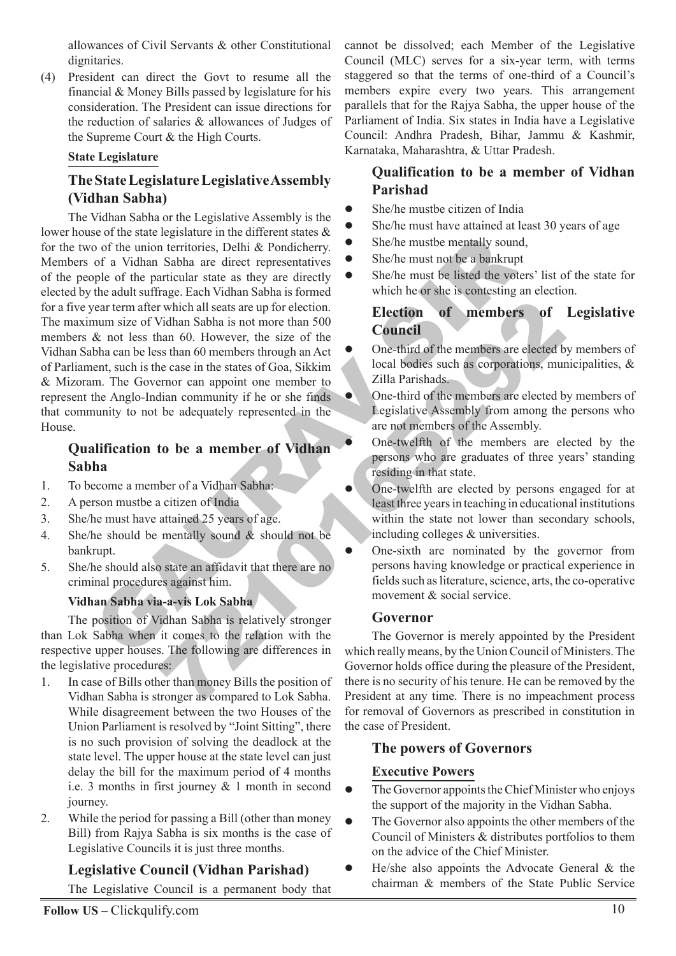allowances of Civil Servants & other Constitutional dignitaries.

(4) President can direct the Govt to resume all the financial & Money Bills passed by legislature for his consideration. The President can issue directions for the reduction of salaries & allowances of Judges of the Supreme Court & the High Courts.

#### **State Legislature**

# **The State Legislature Legislative Assembly (Vidhan Sabha)**

Example of the particular and current states are controlled at the transformation of a vidhan Sabha are direct representatives and the big list of the particular state as they are directly to the state of the particular st The state and the members of the members of the members of the summarison is not more than 500. However, the size of the case in the states of Goa, Sikkim and At the members are cleeded by the case in the states of Goa, Si The Vidhan Sabha or the Legislative Assembly is the lower house of the state legislature in the different states & for the two of the union territories, Delhi & Pondicherry. Members of a Vidhan Sabha are direct representatives of the people of the particular state as they are directly elected by the adult suffrage. Each Vidhan Sabha is formed for a five year term after which all seats are up for election. The maximum size of Vidhan Sabha is not more than 500 members & not less than 60. However, the size of the Vidhan Sabha can be less than 60 members through an Act of Parliament, such is the case in the states of Goa, Sikkim & Mizoram. The Governor can appoint one member to represent the Anglo-Indian community if he or she finds that community to not be adequately represented in the House.

# **Qualification to be a member of Vidhan Sabha**

- 1. To become a member of a Vidhan Sabha:
- 2. A person mustbe a citizen of India
- 3. She/he must have attained 25 years of age.
- 4. She/he should be mentally sound & should not be bankrupt.
- 5. She/he should also state an affidavit that there are no criminal procedures against him.

#### **Vidhan Sabha via-a-vis Lok Sabha**

The position of Vidhan Sabha is relatively stronger than Lok Sabha when it comes to the relation with the respective upper houses. The following are differences in the legislative procedures:

- 1. In case of Bills other than money Bills the position of Vidhan Sabha is stronger as compared to Lok Sabha. While disagreement between the two Houses of the Union Parliament is resolved by "Joint Sitting", there is no such provision of solving the deadlock at the state level. The upper house at the state level can just delay the bill for the maximum period of 4 months i.e. 3 months in first journey & 1 month in second journey.
- 2. While the period for passing a Bill (other than money Bill) from Rajya Sabha is six months is the case of Legislative Councils it is just three months.

#### **Legislative Council (Vidhan Parishad)**

The Legislative Council is a permanent body that

cannot be dissolved; each Member of the Legislative Council (MLC) serves for a six-year term, with terms staggered so that the terms of one-third of a Council's members expire every two years. This arrangement parallels that for the Rajya Sabha, the upper house of the Parliament of India. Six states in India have a Legislative Council: Andhra Pradesh, Bihar, Jammu & Kashmir, Karnataka, Maharashtra, & Uttar Pradesh.

# **Qualification to be a member of Vidhan Parishad**

- She/he mustbe citizen of India  $\bullet$
- She/he must have attained at least 30 years of age  $\bullet$
- She/he mustbe mentally sound,  $\bullet$
- She/he must not be a bankrupt  $\bullet$
- She/he must be listed the voters' list of the state for which he or she is contesting an election.  $\bullet$

# **Election of members of Legislative Council**

- One-third of the members are elected by members of local bodies such as corporations, municipalities, & Zilla Parishads.  $\bullet$
- One-third of the members are elected by members of Legislative Assembly from among the persons who are not members of the Assembly.  $\bullet$ 
	- One-twelfth of the members are elected by the persons who are graduates of three years' standing residing in that state.
	- One-twelfth are elected by persons engaged for at least three years in teaching in educational institutions within the state not lower than secondary schools, including colleges & universities.
- One-sixth are nominated by the governor from persons having knowledge or practical experience in fields such as literature, science, arts, the co-operative movement & social service.  $\blacksquare$

#### **Governor**

 $\bullet$ 

 $\bullet$ 

The Governor is merely appointed by the President which really means, by the Union Council of Ministers. The Governor holds office during the pleasure of the President, there is no security of his tenure. He can be removed by the President at any time. There is no impeachment process for removal of Governors as prescribed in constitution in the case of President.

# **The powers of Governors**

#### **Executive Powers**

- The Governor appoints the Chief Minister who enjoys the support of the majority in the Vidhan Sabha.  $\bullet$
- The Governor also appoints the other members of the Council of Ministers & distributes portfolios to them on the advice of the Chief Minister.  $\bullet$
- He/she also appoints the Advocate General & the chairman & members of the State Public Service  $\bullet$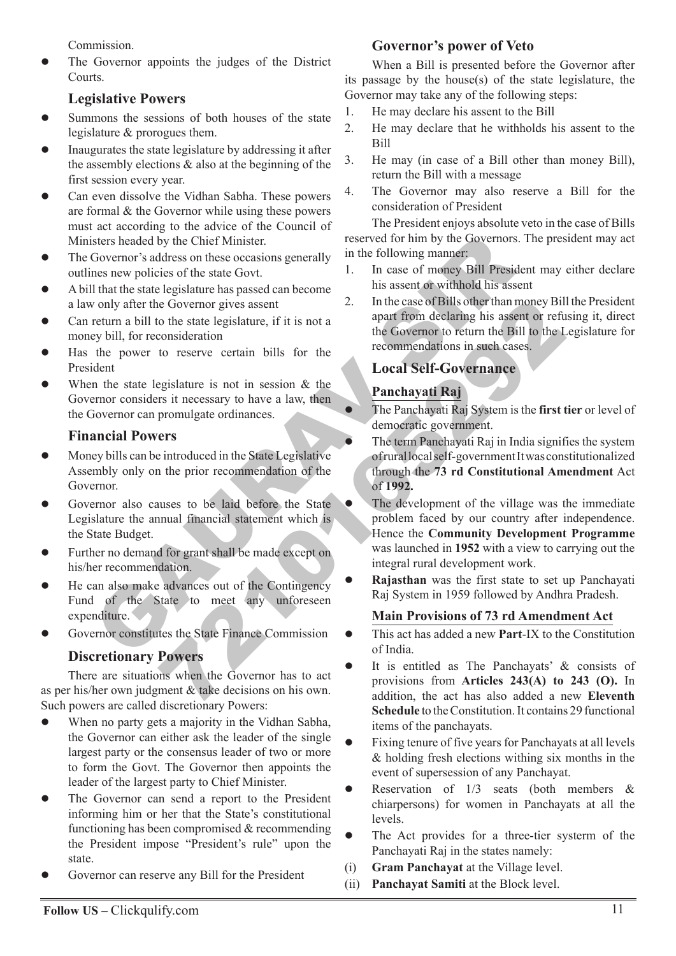Commission.

The Governor appoints the judges of the District **Courts**.  $\bullet$ 

# **Legislative Powers**

- Summons the sessions of both houses of the state legislature & prorogues them.  $\bullet$
- Inaugurates the state legislature by addressing it after the assembly elections  $\&$  also at the beginning of the first session every year.  $\bullet$
- Can even dissolve the Vidhan Sabha. These powers are formal & the Governor while using these powers must act according to the advice of the Council of Ministers headed by the Chief Minister.  $\bullet$
- The Governor's address on these occasions generally outlines new policies of the state Govt.  $\bullet$
- A bill that the state legislature has passed can become a law only after the Governor gives assent  $\bullet$
- Can return a bill to the state legislature, if it is not a money bill, for reconsideration  $\bullet$
- Has the power to reserve certain bills for the President  $\bullet$
- When the state legislature is not in session & the Governor considers it necessary to have a law, then the Governor can promulgate ordinances.  $\bullet$

#### **Financial Powers**

- Money bills can be introduced in the State Legislative Assembly only on the prior recommendation of the Governor.  $\bullet$
- Governor also causes to be laid before the State Legislature the annual financial statement which is the State Budget.  $\bullet$
- Further no demand for grant shall be made except on his/her recommendation.  $\bullet$
- He can also make advances out of the Contingency Fund of the State to meet any unforeseen expenditure.  $\bullet$
- Governor constitutes the State Finance Commission  $\bullet$

# **Discretionary Powers**

There are situations when the Governor has to act as per his/her own judgment & take decisions on his own. Such powers are called discretionary Powers:

- When no party gets a majority in the Vidhan Sabha, the Governor can either ask the leader of the single largest party or the consensus leader of two or more to form the Govt. The Governor then appoints the leader of the largest party to Chief Minister.  $\bullet$
- The Governor can send a report to the President informing him or her that the State's constitutional functioning has been compromised & recommending the President impose "President's rule" upon the state.  $\bullet$
- Governor can reserve any Bill for the President  $\bullet$

# **Governor's power of Veto**

When a Bill is presented before the Governor after its passage by the house(s) of the state legislature, the Governor may take any of the following steps:

- 1. He may declare his assent to the Bill
- 2. He may declare that he withholds his assent to the Bill
- 3. He may (in case of a Bill other than money Bill), return the Bill with a message
- 4. The Governor may also reserve a Bill for the consideration of President

The President enjoys absolute veto in the case of Bills reserved for him by the Governors. The president may act in the following manner:

- 1. In case of money Bill President may either declare his assent or withhold his assent
- 2. In the case of Bills other than money Bill the President apart from declaring his assent or refusing it, direct the Governor to return the Bill to the Legislature for recommendations in such cases.

# **Local Self-Governance**

# **Panchayati Raj**

 $\bullet$ 

 $\bullet$ 

- The Panchayati Raj System is the **first tier** or level of democratic government.
- The term Panchayati Raj in India signifies the system of rural local self-government It was constitutionalized through the **73 rd Constitutional Amendment** Act of **1992.**
- sters headed by the Chief Minister.<br>
Governor's address on these occasions generally in the following manner<br>
in the state legislature has passed can become<br>
that the state legislature has passed can become<br>
that the state Example the case of Bills other than money Bills of the same of Bills of the same of coverage is the coverage of refunded to reserve certain bills for the recommendations in such cases.<br>
Figure is not in session & the stat The development of the village was the immediate problem faced by our country after independence. Hence the **Community Development Programme** was launched in **1952** with a view to carrying out the integral rural development work.  $\bullet$ 
	- **Rajasthan** was the first state to set up Panchayati Raj System in 1959 followed by Andhra Pradesh.  $\bullet$

#### **Main Provisions of 73 rd Amendment Act**

- This act has added a new **Part**-IX to the Constitution of India.  $\bullet$
- It is entitled as The Panchayats' & consists of provisions from **Articles 243(A) to 243 (O).** In addition, the act has also added a new **Eleventh Schedule** to the Constitution. It contains 29 functional items of the panchayats.  $\bullet$
- Fixing tenure of five years for Panchayats at all levels & holding fresh elections withing six months in the event of supersession of any Panchayat.  $\bullet$
- Reservation of  $1/3$  seats (both members  $\&$ chiarpersons) for women in Panchayats at all the levels.  $\bullet$
- The Act provides for a three-tier systerm of the Panchayati Raj in the states namely:  $\bullet$
- (i) **Gram Panchayat** at the Village level.
- (ii) **Panchayat Samiti** at the Block level.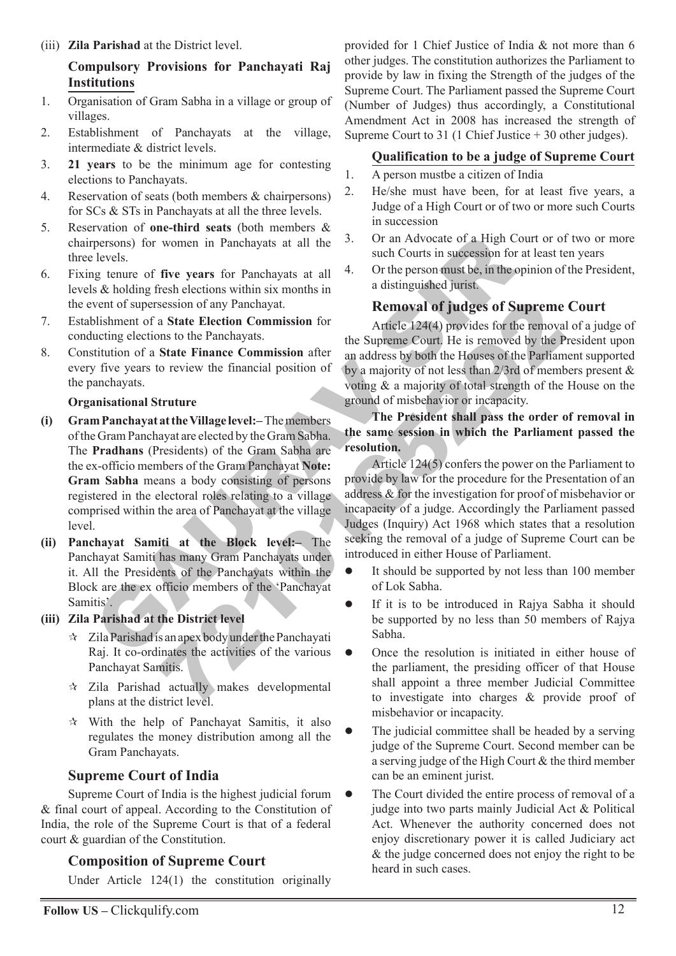(iii) **Zila Parishad** at the District level.

#### **Compulsory Provisions for Panchayati Raj Institutions**

- 1. Organisation of Gram Sabha in a village or group of villages.
- 2. Establishment of Panchayats at the village, intermediate & district levels.
- 3. **21 years** to be the minimum age for contesting elections to Panchayats.
- 4. Reservation of seats (both members & chairpersons) for SCs & STs in Panchayats at all the three levels.
- 5. Reservation of **one-third seats** (both members & chairpersons) for women in Panchayats at all the three levels.
- 6. Fixing tenure of **five years** for Panchayats at all levels & holding fresh elections within six months in the event of supersession of any Panchayat.
- 7. Establishment of a **State Election Commission** for conducting elections to the Panchayats.
- 8. Constitution of a **State Finance Commission** after every five years to review the financial position of the panchayats.

#### **Organisational Struture**

- persons) for women in Panchayats at all the 3.<br>
levels.<br>
levels.<br>
levels.<br>
levels.<br>
levels.<br>
levels.<br>
levels.<br>
levels.<br>
levels.<br>
levels.<br>
Significations within six months in<br>
a distinguished jurist.<br>
vent of supersession **(i) Gram Panchayat at the Village level:–** The members of the Gram Panchayat are elected by the Gram Sabha. The **Pradhans** (Presidents) of the Gram Sabha are the ex-officio members of the Gram Panchayat **Note: Gram Sabha** means a body consisting of persons registered in the electoral roles relating to a village comprised within the area of Panchayat at the village level.
- **(ii) Panchayat Samiti at the Block level:–** The Panchayat Samiti has many Gram Panchayats under it. All the Presidents of the Panchayats within the Block are the ex officio members of the 'Panchayat Samitis'.

#### **(iii) Zila Parishad at the District level**

- $\star$  Zila Parishad is an apex body under the Panchayati Raj. It co-ordinates the activities of the various Panchayat Samitis.
- $\star$  Zila Parishad actually makes developmental plans at the district level.
- $\mathcal{R}$  With the help of Panchayat Samitis, it also regulates the money distribution among all the Gram Panchayats.

#### **Supreme Court of India**

Supreme Court of India is the highest judicial forum & final court of appeal. According to the Constitution of India, the role of the Supreme Court is that of a federal court & guardian of the Constitution.

#### **Composition of Supreme Court**

Under Article 124(1) the constitution originally

provided for 1 Chief Justice of India & not more than 6 other judges. The constitution authorizes the Parliament to provide by law in fixing the Strength of the judges of the Supreme Court. The Parliament passed the Supreme Court (Number of Judges) thus accordingly, a Constitutional Amendment Act in 2008 has increased the strength of Supreme Court to 31 (1 Chief Justice + 30 other judges).

#### **Qualification to be a judge of Supreme Court**

- 1. A person mustbe a citizen of India
- 2. He/she must have been, for at least five years, a Judge of a High Court or of two or more such Courts in succession
- 3. Or an Advocate of a High Court or of two or more such Courts in succession for at least ten years
- 4. Or the person must be, in the opinion of the President, a distinguished jurist.

# **Removal of judges of Supreme Court**

Article 124(4) provides for the removal of a judge of the Supreme Court. He is removed by the President upon an address by both the Houses of the Parliament supported by a majority of not less than 2/3rd of members present & voting & a majority of total strength of the House on the ground of misbehavior or incapacity.

#### **The President shall pass the order of removal in the same session in which the Parliament passed the resolution.**

session of any Panchayat.<br> **Removal of judges of Supreme**<br>
a State Election Commission for<br>
and the Capacity He is tenoved by the Panchayats.<br>
State Finance Commission after<br>
an address by both the Houses of the Parliam<br>
c Article 124(5) confers the power on the Parliament to provide by law for the procedure for the Presentation of an address & for the investigation for proof of misbehavior or incapacity of a judge. Accordingly the Parliament passed Judges (Inquiry) Act 1968 which states that a resolution seeking the removal of a judge of Supreme Court can be introduced in either House of Parliament.

- It should be supported by not less than 100 member of Lok Sabha.  $\bullet$
- If it is to be introduced in Rajya Sabha it should be supported by no less than 50 members of Rajya Sabha.  $\bullet$
- Once the resolution is initiated in either house of the parliament, the presiding officer of that House shall appoint a three member Judicial Committee to investigate into charges & provide proof of misbehavior or incapacity.  $\bullet$
- The judicial committee shall be headed by a serving judge of the Supreme Court. Second member can be a serving judge of the High Court & the third member can be an eminent jurist.  $\bullet$
- The Court divided the entire process of removal of a judge into two parts mainly Judicial Act & Political Act. Whenever the authority concerned does not enjoy discretionary power it is called Judiciary act & the judge concerned does not enjoy the right to be heard in such cases.  $\bullet$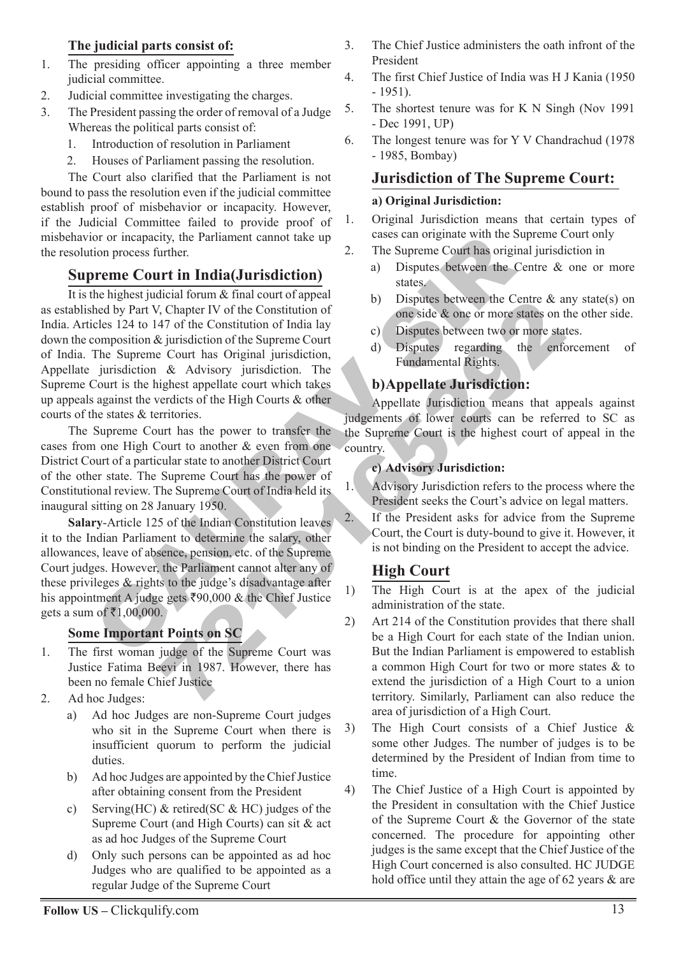# **The judicial parts consist of:**

- 1. The presiding officer appointing a three member judicial committee.
- 2. Judicial committee investigating the charges.
- 3. The President passing the order of removal of a Judge Whereas the political parts consist of:
	- 1. Introduction of resolution in Parliament
	- 2. Houses of Parliament passing the resolution.

The Court also clarified that the Parliament is not bound to pass the resolution even if the judicial committee establish proof of misbehavior or incapacity. However, if the Judicial Committee failed to provide proof of misbehavior or incapacity, the Parliament cannot take up the resolution process further.

# **Supreme Court in India(Jurisdiction)**

consider the partial and the state of the Superno Court in **India** (*Jurisdiction*)<br>
2. The Superno Court in **India (***Jurisdiction*)<br>
2. The Superno Court in **India (***Jurisdiction*)<br>
2. The Superno Court in **India (***Jur* 22. If the Happen Court has the Constitution of<br>
Schapter IV of the Constitution of India lay<br>
29. Disputes between two or more states on the superior contraction of the Superior Constitution of the Superior of the Superi It is the highest judicial forum & final court of appeal as established by Part V, Chapter IV of the Constitution of India. Articles 124 to 147 of the Constitution of India lay down the composition & jurisdiction of the Supreme Court of India. The Supreme Court has Original jurisdiction, Appellate jurisdiction & Advisory jurisdiction. The Supreme Court is the highest appellate court which takes up appeals against the verdicts of the High Courts & other courts of the states & territories.

The Supreme Court has the power to transfer the cases from one High Court to another & even from one District Court of a particular state to another District Court of the other state. The Supreme Court has the power of Constitutional review. The Supreme Court of India held its inaugural sitting on 28 January 1950.

**Salary**-Article 125 of the Indian Constitution leaves it to the Indian Parliament to determine the salary, other allowances, leave of absence, pension, etc. of the Supreme Court judges. However, the Parliament cannot alter any of these privileges & rights to the judge's disadvantage after his appointment A judge gets  $\bar{\xi}90,000 \&$  the Chief Justice gets a sum of ₹1,00,000.

# **Some Important Points on SC**

- 1. The first woman judge of the Supreme Court was Justice Fatima Beevi in 1987. However, there has been no female Chief Justice
- 2. Ad hoc Judges:
	- a) Ad hoc Judges are non-Supreme Court judges who sit in the Supreme Court when there is insufficient quorum to perform the judicial duties.
	- b) Ad hoc Judges are appointed by the Chief Justice after obtaining consent from the President
	- c) Serving(HC)  $&$  retired(SC  $&$  HC) judges of the Supreme Court (and High Courts) can sit & act as ad hoc Judges of the Supreme Court
	- d) Only such persons can be appointed as ad hoc Judges who are qualified to be appointed as a regular Judge of the Supreme Court
- 3. The Chief Justice administers the oath infront of the President
- 4. The first Chief Justice of India was H J Kania (1950 - 1951).
- 5. The shortest tenure was for K N Singh (Nov 1991 - Dec 1991, UP)
- 6. The longest tenure was for Y V Chandrachud (1978 - 1985, Bombay)

# **Jurisdiction of The Supreme Court:**

#### **a) Original Jurisdiction:**

- 1. Original Jurisdiction means that certain types of cases can originate with the Supreme Court only
- 2. The Supreme Court has original jurisdiction in
	- a) Disputes between the Centre & one or more states.
	- b) Disputes between the Centre & any state(s) on one side & one or more states on the other side.
	- c) Disputes between two or more states.
	- d) Disputes regarding the enforcement of Fundamental Rights.

# **b)Appellate Jurisdiction:**

Appellate Jurisdiction means that appeals against judgements of lower courts can be referred to SC as the Supreme Court is the highest court of appeal in the country.

#### **c) Advisory Jurisdiction:**

- 1. Advisory Jurisdiction refers to the process where the President seeks the Court's advice on legal matters.
- 2. If the President asks for advice from the Supreme Court, the Court is duty-bound to give it. However, it is not binding on the President to accept the advice.

# **High Court**

- 1) The High Court is at the apex of the judicial administration of the state.
- 2) Art 214 of the Constitution provides that there shall be a High Court for each state of the Indian union. But the Indian Parliament is empowered to establish a common High Court for two or more states & to extend the jurisdiction of a High Court to a union territory. Similarly, Parliament can also reduce the area of jurisdiction of a High Court.
- 3) The High Court consists of a Chief Justice & some other Judges. The number of judges is to be determined by the President of Indian from time to time.
- 4) The Chief Justice of a High Court is appointed by the President in consultation with the Chief Justice of the Supreme Court & the Governor of the state concerned. The procedure for appointing other judges is the same except that the Chief Justice of the High Court concerned is also consulted. HC JUDGE hold office until they attain the age of 62 years & are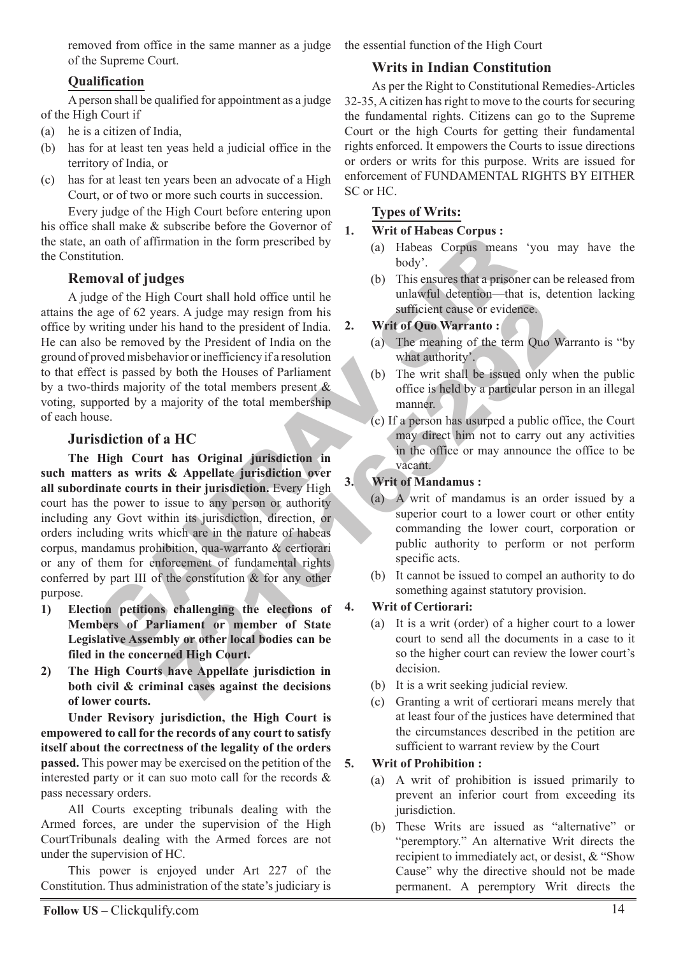removed from office in the same manner as a judge the essential function of the High Court of the Supreme Court.

# **Qualification**

A person shall be qualified for appointment as a judge of the High Court if

- (a) he is a citizen of India,
- (b) has for at least ten yeas held a judicial office in the territory of India, or
- (c) has for at least ten years been an advocate of a High Court, or of two or more such courts in succession.

Every judge of the High Court before entering upon his office shall make & subscribe before the Governor of the state, an oath of affirmation in the form prescribed by the Constitution.

# **Removal of judges**

A judge of the High Court shall hold office until he attains the age of 62 years. A judge may resign from his office by writing under his hand to the president of India. He can also be removed by the President of India on the ground of proved misbehavior or inefficiency if a resolution to that effect is passed by both the Houses of Parliament by a two-thirds majority of the total members present & voting, supported by a majority of the total membership of each house.

# **Jurisdiction of a HC**

In oath of affirmation in the form prescribed by<br>
the and Habeas Corpus means<br>
intion,<br>
any cold of fluid sets and a prison of **a** body'.<br>
<br>
Signe of the High Court shall hold of fluce until the<br>
signe of 62 years. A judg Equivalent of the dial of the constitution of the dial of the president of Indian on the US of the Cause of evidence and the president of Indian on the House of Parliament (a) The meaning of the term Quo Way the total memb **The High Court has Original jurisdiction in such matters as writs & Appellate jurisdiction over all subordinate courts in their jurisdiction.** Every High court has the power to issue to any person or authority including any Govt within its jurisdiction, direction, or orders including writs which are in the nature of habeas corpus, mandamus prohibition, qua-warranto & certiorari or any of them for enforcement of fundamental rights conferred by part III of the constitution & for any other purpose.

- **1) Election petitions challenging the elections of Members of Parliament or member of State Legislative Assembly or other local bodies can be filed in the concerned High Court.**
- **2) The High Courts have Appellate jurisdiction in both civil & criminal cases against the decisions of lower courts.**

**Under Revisory jurisdiction, the High Court is empowered to call for the records of any court to satisfy itself about the correctness of the legality of the orders passed.** This power may be exercised on the petition of the interested party or it can suo moto call for the records & pass necessary orders.

All Courts excepting tribunals dealing with the Armed forces, are under the supervision of the High CourtTribunals dealing with the Armed forces are not under the supervision of HC.

This power is enjoyed under Art 227 of the Constitution. Thus administration of the state's judiciary is

# **Writs in Indian Constitution**

As per the Right to Constitutional Remedies-Articles 32-35, A citizen has right to move to the courts for securing the fundamental rights. Citizens can go to the Supreme Court or the high Courts for getting their fundamental rights enforced. It empowers the Courts to issue directions or orders or writs for this purpose. Writs are issued for enforcement of FUNDAMENTAL RIGHTS BY EITHER SC or HC.

# **Types of Writs:**

# **1. Writ of Habeas Corpus :**

- (a) Habeas Corpus means 'you may have the body'.
- (b) This ensures that a prisoner can be released from unlawful detention—that is, detention lacking sufficient cause or evidence.

# **2. Writ of Quo Warranto :**

- (a) The meaning of the term Quo Warranto is "by what authority'.
- (b) The writ shall be issued only when the public office is held by a particular person in an illegal manner.
- (c) If a person has usurped a public office, the Court may direct him not to carry out any activities in the office or may announce the office to be vacant.

# **3. Writ of Mandamus :**

- (a) A writ of mandamus is an order issued by a superior court to a lower court or other entity commanding the lower court, corporation or public authority to perform or not perform specific acts.
- (b) It cannot be issued to compel an authority to do something against statutory provision.

# **4. Writ of Certiorari:**

- (a) It is a writ (order) of a higher court to a lower court to send all the documents in a case to it so the higher court can review the lower court's decision.
- (b) It is a writ seeking judicial review.
- (c) Granting a writ of certiorari means merely that at least four of the justices have determined that the circumstances described in the petition are sufficient to warrant review by the Court

# **5. Writ of Prohibition :**

- (a) A writ of prohibition is issued primarily to prevent an inferior court from exceeding its jurisdiction.
- (b) These Writs are issued as "alternative" or "peremptory." An alternative Writ directs the recipient to immediately act, or desist, & "Show Cause" why the directive should not be made permanent. A peremptory Writ directs the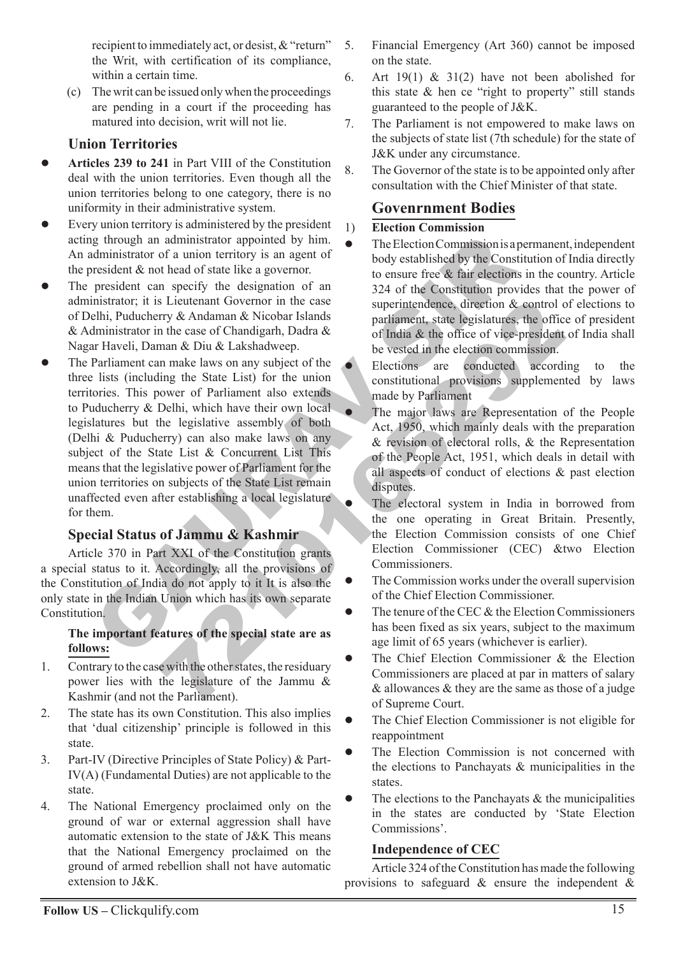recipient to immediately act, or desist, & "return" the Writ, with certification of its compliance, within a certain time.

(c) The writ can be issued only when the proceedings are pending in a court if the proceeding has matured into decision, writ will not lie.

# **Union Territories**

- **Articles 239 to 241** in Part VIII of the Constitution deal with the union territories. Even though all the union territories belong to one category, there is no uniformity in their administrative system.  $\bullet$
- Every union territory is administered by the president acting through an administrator appointed by him. An administrator of a union territory is an agent of the president & not head of state like a governor.  $\bullet$
- The president can specify the designation of an administrator; it is Lieutenant Governor in the case of Delhi, Puducherry & Andaman & Nicobar Islands & Administrator in the case of Chandigarh, Dadra & Nagar Haveli, Daman & Diu & Lakshadweep.  $\bullet$
- g through an administrator appointed by him. The Election Commissionisa<br>
diministrator of a union territory is an agent of the case are free & the election<br>
president & not head of state like a governor.<br>
In iteration of a Experiment Given<br>orror in the case of Chandigarh, Dadra & superintendence, direction & control<br>of pridia & the office of vice-president<br>man & Diu & Lakshadweep.<br>Image laws on any subject of the selection commission.<br>Image The Parliament can make laws on any subject of the three lists (including the State List) for the union territories. This power of Parliament also extends to Puducherry & Delhi, which have their own local legislatures but the legislative assembly of both (Delhi & Puducherry) can also make laws on any subject of the State List & Concurrent List This means that the legislative power of Parliament for the union territories on subjects of the State List remain unaffected even after establishing a local legislature for them.  $\bullet$

# **Special Status of Jammu & Kashmir**

Article 370 in Part XXI of the Constitution grants a special status to it. Accordingly, all the provisions of the Constitution of India do not apply to it It is also the only state in the Indian Union which has its own separate Constitution.

#### **The important features of the special state are as follows:**

- 1. Contrary to the case with the other states, the residuary power lies with the legislature of the Jammu & Kashmir (and not the Parliament).
- 2. The state has its own Constitution. This also implies that 'dual citizenship' principle is followed in this state.
- 3. Part-IV (Directive Principles of State Policy) & Part-IV(A) (Fundamental Duties) are not applicable to the state.
- 4. The National Emergency proclaimed only on the ground of war or external aggression shall have automatic extension to the state of J&K This means that the National Emergency proclaimed on the ground of armed rebellion shall not have automatic extension to J&K.
- 5. Financial Emergency (Art 360) cannot be imposed on the state.
- 6. Art  $19(1)$  &  $31(2)$  have not been abolished for this state & hen ce "right to property" still stands guaranteed to the people of J&K.
- 7. The Parliament is not empowered to make laws on the subjects of state list (7th schedule) for the state of J&K under any circumstance.
- 8. The Governor of the state is to be appointed only after consultation with the Chief Minister of that state.

# **Govenrnment Bodies**

# 1) **Election Commission**

 $\bullet$ 

 $\bullet$ 

 $\bullet$ 

- The Election Commission is a permanent, independent body established by the Constitution of India directly to ensure free & fair elections in the country. Article 324 of the Constitution provides that the power of superintendence, direction & control of elections to parliament, state legislatures, the office of president of India & the office of vice-president of India shall be vested in the election commission.  $\bullet$ 
	- Elections are conducted according to the constitutional provisions supplemented by laws made by Parliament
	- The major laws are Representation of the People Act, 1950, which mainly deals with the preparation & revision of electoral rolls, & the Representation of the People Act, 1951, which deals in detail with all aspects of conduct of elections & past election disputes.
	- The electoral system in India in borrowed from the one operating in Great Britain. Presently, the Election Commission consists of one Chief Election Commissioner (CEC) &two Election Commissioners.
- The Commission works under the overall supervision of the Chief Election Commissioner.  $\bullet$
- The tenure of the CEC & the Election Commissioners has been fixed as six years, subject to the maximum age limit of 65 years (whichever is earlier).  $\bullet$
- The Chief Election Commissioner & the Election Commissioners are placed at par in matters of salary  $&$  allowances  $&$  they are the same as those of a judge of Supreme Court.  $\bullet$
- The Chief Election Commissioner is not eligible for reappointment  $\bullet$
- The Election Commission is not concerned with the elections to Panchayats & municipalities in the states.  $\bullet$
- The elections to the Panchayats  $\&$  the municipalities in the states are conducted by 'State Election Commissions'.  $\bullet$

# **Independence of CEC**

Article 324 of the Constitution has made the following provisions to safeguard  $\&$  ensure the independent  $\&$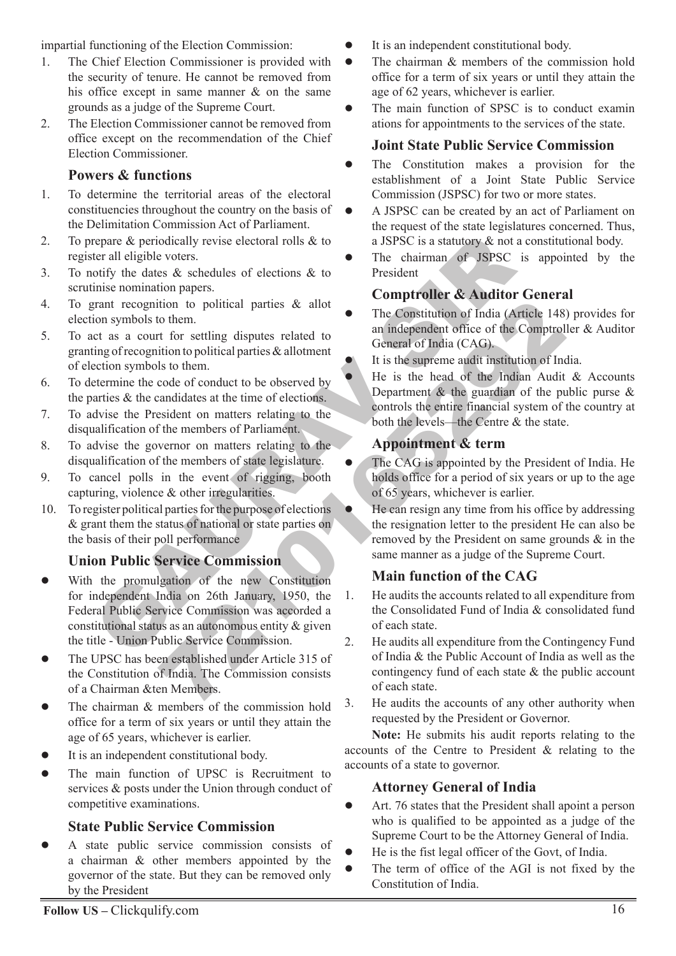impartial functioning of the Election Commission:

- 1. The Chief Election Commissioner is provided with the security of tenure. He cannot be removed from his office except in same manner & on the same grounds as a judge of the Supreme Court.
- 2. The Election Commissioner cannot be removed from office except on the recommendation of the Chief Election Commissioner.

# **Powers & functions**

- 1. To determine the territorial areas of the electoral constituencies throughout the country on the basis of the Delimitation Commission Act of Parliament.
- 2. To prepare & periodically revise electoral rolls & to register all eligible voters.
- 3. To notify the dates & schedules of elections & to scrutinise nomination papers.
- 4. To grant recognition to political parties & allot election symbols to them.
- 5. To act as a court for settling disputes related to granting of recognition to political parties & allotment of election symbols to them.
- 6. To determine the code of conduct to be observed by the parties & the candidates at the time of elections.
- 7. To advise the President on matters relating to the disqualification of the members of Parliament.
- 8. To advise the governor on matters relating to the disqualification of the members of state legislature.
- 9. To cancel polls in the event of rigging, booth capturing, violence & other irregularities.
- 10. To register political parties for the purpose of elections & grant them the status of national or state parties on the basis of their poll performance

# **Union Public Service Commission**

- repare & periodically revise electoral rolls & to<br>
teri all eighte voters.<br>
Social external effections & to<br>
the chaiman of JSPSC<br>
orify the dates & schedules of elections & to<br>
the comptroller & Auditor<br>
intercognition to tion to political parties & allot<br>
of the Constitution of India (Article 148<br>
of the constitution of India (Article 148<br>
an independent office of the Comptrol<br>
ition to political parties & allotment<br>
or conduct to be obse With the promulgation of the new Constitution for independent India on 26th January, 1950, the Federal Public Service Commission was accorded a constitutional status as an autonomous entity & given the title - Union Public Service Commission.  $\bullet$
- The UPSC has been established under Article 315 of the Constitution of India. The Commission consists of a Chairman &ten Members.  $\bullet$
- The chairman & members of the commission hold office for a term of six years or until they attain the age of 65 years, whichever is earlier.  $\bullet$
- It is an independent constitutional body.  $\bullet$
- The main function of UPSC is Recruitment to services & posts under the Union through conduct of competitive examinations.  $\bullet$

# **State Public Service Commission**

A state public service commission consists of a chairman & other members appointed by the governor of the state. But they can be removed only by the President  $\bullet$ 

- It is an independent constitutional body.  $\bullet$
- The chairman & members of the commission hold office for a term of six years or until they attain the age of 62 years, whichever is earlier.  $\bullet$
- The main function of SPSC is to conduct examin ations for appointments to the services of the state.  $\bullet$

# **Joint State Public Service Commission**

- The Constitution makes a provision for the establishment of a Joint State Public Service Commission (JSPSC) for two or more states.  $\bullet$
- A JSPSC can be created by an act of Parliament on the request of the state legislatures concerned. Thus, a JSPSC is a statutory & not a constitutional body.
- The chairman of JSPSC is appointed by the President  $\bullet$

# **Comptroller & Auditor General**

- The Constitution of India (Article 148) provides for an independent office of the Comptroller & Auditor General of India (CAG).
- It is the supreme audit institution of India.
- He is the head of the Indian Audit & Accounts Department  $\&$  the guardian of the public purse  $\&$ controls the entire financial system of the country at both the levels—the Centre & the state.

# **Appointment & term**

 $\bullet$ 

 $\bullet$  $\bullet$ 

 $\bullet$ 

 $\bullet$ 

- The CAG is appointed by the President of India. He holds office for a period of six years or up to the age of 65 years, whichever is earlier.
- He can resign any time from his office by addressing the resignation letter to the president He can also be removed by the President on same grounds & in the same manner as a judge of the Supreme Court.

# **Main function of the CAG**

- 1. He audits the accounts related to all expenditure from the Consolidated Fund of India & consolidated fund of each state.
- 2. He audits all expenditure from the Contingency Fund of India & the Public Account of India as well as the contingency fund of each state & the public account of each state.
- 3. He audits the accounts of any other authority when requested by the President or Governor.

**Note:** He submits his audit reports relating to the accounts of the Centre to President & relating to the accounts of a state to governor.

# **Attorney General of India**

- Art. 76 states that the President shall apoint a person who is qualified to be appointed as a judge of the Supreme Court to be the Attorney General of India.  $\blacksquare$
- He is the fist legal officer of the Govt, of India.  $\bullet$
- The term of office of the AGI is not fixed by the Constitution of India.  $\bullet$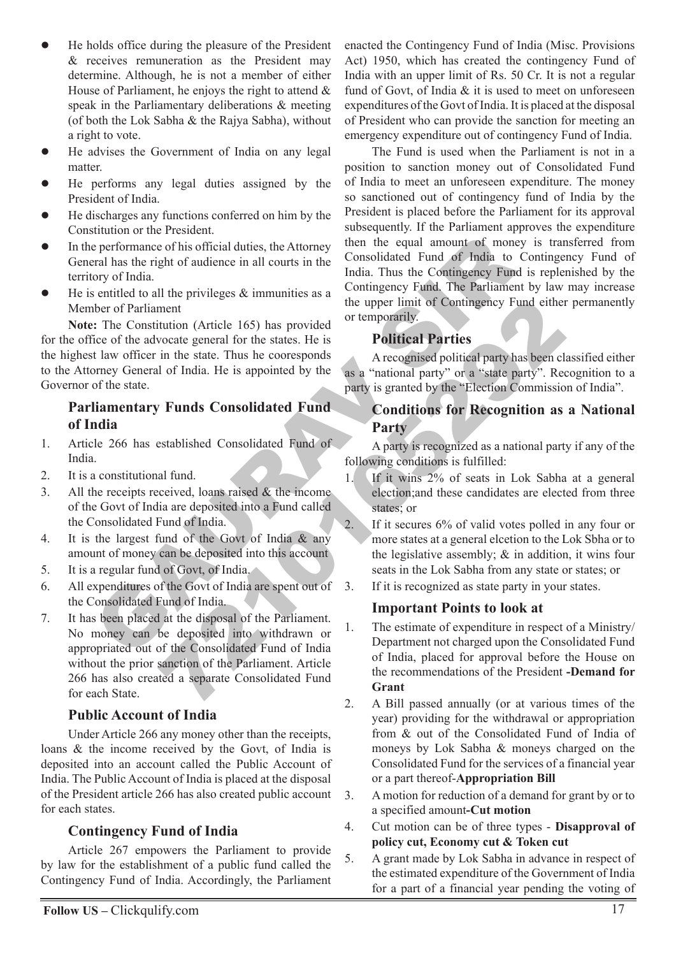- He holds office during the pleasure of the President & receives remuneration as the President may determine. Although, he is not a member of either House of Parliament, he enjoys the right to attend & speak in the Parliamentary deliberations & meeting (of both the Lok Sabha & the Rajya Sabha), without a right to vote.  $\bullet$
- He advises the Government of India on any legal matter.  $\bullet$
- He performs any legal duties assigned by the President of India.  $\bullet$
- He discharges any functions conferred on him by the Constitution or the President.  $\bullet$
- In the performance of his official duties, the Attorney General has the right of audience in all courts in the territory of India.  $\bullet$
- He is entitled to all the privileges  $\&$  immunities as a Member of Parliament  $\bullet$

Anatomic of the issocial control of the Consolidated Fund of the Testimate of his official duties, the Attorney then the equal amount of money<br>
are performance of his official duties, the Attorney then the custodiated Fun **Note:** The Constitution (Article 165) has provided for the office of the advocate general for the states. He is the highest law officer in the state. Thus he cooresponds to the Attorney General of India. He is appointed by the Governor of the state.

# **Parliamentary Funds Consolidated Fund of India**

- 1. Article 266 has established Consolidated Fund of India.
- 2. It is a constitutional fund.
- 3. All the receipts received, loans raised  $\&$  the incomeof the Govt of India are deposited into a Fund called the Consolidated Fund of India.
- 4. It is the largest fund of the Govt of India & any amount of money can be deposited into this account
- 5. It is a regular fund of Govt, of India.
- 6. All expenditures of the Govt of India are spent out of the Consolidated Fund of India.
- 7. It has been placed at the disposal of the Parliament. No money can be deposited into withdrawn or appropriated out of the Consolidated Fund of India without the prior sanction of the Parliament. Article 266 has also created a separate Consolidated Fund for each State.

# **Public Account of India**

Under Article 266 any money other than the receipts, loans & the income received by the Govt, of India is deposited into an account called the Public Account of India. The Public Account of India is placed at the disposal of the President article 266 has also created public account for each states.

# **Contingency Fund of India**

Article 267 empowers the Parliament to provide by law for the establishment of a public fund called the Contingency Fund of India. Accordingly, the Parliament

enacted the Contingency Fund of India (Misc. Provisions Act) 1950, which has created the contingency Fund of India with an upper limit of Rs. 50 Cr. It is not a regular fund of Govt, of India & it is used to meet on unforeseen expenditures of the Govt of India. It is placed at the disposal of President who can provide the sanction for meeting an emergency expenditure out of contingency Fund of India.

The Fund is used when the Parliament is not in a position to sanction money out of Consolidated Fund of India to meet an unforeseen expenditure. The money so sanctioned out of contingency fund of India by the President is placed before the Parliament for its approval subsequently. If the Parliament approves the expenditure then the equal amount of money is transferred from Consolidated Fund of India to Contingency Fund of India. Thus the Contingency Fund is replenished by the Contingency Fund. The Parliament by law may increase the upper limit of Contingency Fund either permanently or temporarily.

# **Political Parties**

A recognised political party has been classified either as a "national party" or a "state party". Recognition to a party is granted by the "Election Commission of India".

# **Conditions for Recognition as a National Party**

A party is recognized as a national party if any of the following conditions is fulfilled:

- 1. If it wins 2% of seats in Lok Sabha at a general election;and these candidates are elected from three states; or
- 2. If it secures 6% of valid votes polled in any four or more states at a general elcetion to the Lok Sbha or to the legislative assembly; & in addition, it wins four seats in the Lok Sabha from any state or states; or
- 3. If it is recognized as state party in your states.

# **Important Points to look at**

- ment<br>
ment<br>
the upper limit of Contingency Fund either<br>
vocate general for the states. He is<br>
in the state. Thus he cooresponds<br>
in the state. Thus he cooresponds<br>
a "national party" or a "state party". Recognised politica 1. The estimate of expenditure in respect of a Ministry/ Department not charged upon the Consolidated Fund of India, placed for approval before the House on the recommendations of the President **-Demand for Grant**
	- 2. A Bill passed annually (or at various times of the year) providing for the withdrawal or appropriation from & out of the Consolidated Fund of India of moneys by Lok Sabha & moneys charged on the Consolidated Fund for the services of a financial year or a part thereof-**Appropriation Bill**
	- 3. A motion for reduction of a demand for grant by or to a specified amount**-Cut motion**
	- 4. Cut motion can be of three types - **Disapproval of policy cut, Economy cut & Token cut**
	- 5. A grant made by Lok Sabha in advance in respect of the estimated expenditure of the Government of India for a part of a financial year pending the voting of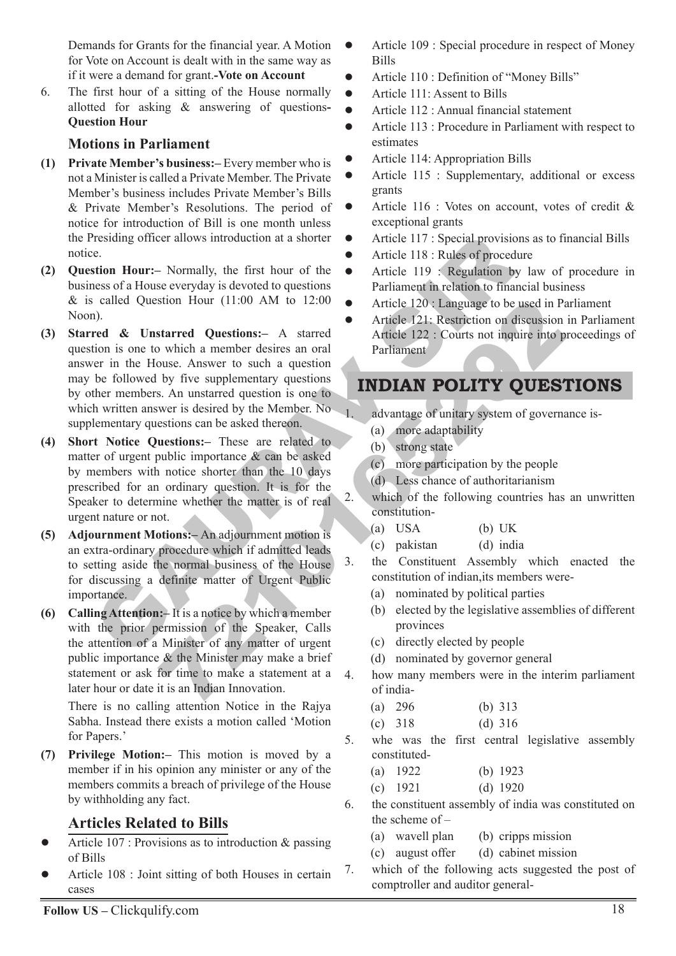Demands for Grants for the financial year. A Motion for Vote on Account is dealt with in the same way as if it were a demand for grant.**-Vote on Account**

6. The first hour of a sitting of the House normally allotted for asking & answering of questions**-Question Hour**

# **Motions in Parliament**

- **(1) Private Member's business:–** Every member who is not a Minister is called a Private Member. The Private Member's business includes Private Member's Bills & Private Member's Resolutions. The period of notice for introduction of Bill is one month unless the Presiding officer allows introduction at a shorter notice.
- **(2) Question Hour:–** Normally, the first hour of the business of a House everyday is devoted to questions & is called Question Hour (11:00 AM to 12:00 Noon).
- Fresiding officer allows introduction at a shorte<br> **CAURAC SET CONSTANT CONSTANT CONSTANT CONSTANT CONSTANT CONSTANT CONSTANT CONSTANT CONSTANT CONSTANT CONSTANT CONSTANT CONSTANT CONSTANT CONSTANT CONSTANT CONSTANT CONSTA** Start and Controllary (11:00 AM to 12:00<br>
Article 120 : Language to be used in Pa<br>
starred Questions:- A started Article 122 : Restriction on discussion<br>
by five supplementary questions<br>
by five supplementary questions<br>
b **(3) Starred & Unstarred Questions:–** A starred question is one to which a member desires an oral answer in the House. Answer to such a question may be followed by five supplementary questions by other members. An unstarred question is one to which written answer is desired by the Member. No supplementary questions can be asked thereon.
- **(4) Short Notice Questions:–** These are related to matter of urgent public importance & can be asked by members with notice shorter than the 10 days prescribed for an ordinary question. It is for the Speaker to determine whether the matter is of real urgent nature or not.
- **(5) Adjournment Motions:–** An adjournment motion is an extra-ordinary procedure which if admitted leads to setting aside the normal business of the House for discussing a definite matter of Urgent Public importance.
- **(6) Calling Attention:–** It is a notice by which a member with the prior permission of the Speaker, Calls the attention of a Minister of any matter of urgent public importance & the Minister may make a brief statement or ask for time to make a statement at a later hour or date it is an Indian Innovation.

There is no calling attention Notice in the Rajya Sabha. Instead there exists a motion called 'Motion for Papers.'

**(7) Privilege Motion:–** This motion is moved by a member if in his opinion any minister or any of the members commits a breach of privilege of the House by withholding any fact.

# **Articles Related to Bills**

- Article 107 : Provisions as to introduction & passing of Bills  $\bullet$
- Article 108 : Joint sitting of both Houses in certain cases  $\bullet$
- Article 109 : Special procedure in respect of Money Bills  $\bullet$
- Article 110 : Definition of "Money Bills"  $\bullet$
- Article 111: Assent to Bills  $\bullet$
- Article 112 : Annual financial statement  $\bullet$
- Article 113 : Procedure in Parliament with respect to estimates  $\bullet$
- Article 114: Appropriation Bills  $\bullet$
- Article 115 : Supplementary, additional or excess grants  $\bullet$
- Article 116 : Votes on account, votes of credit & exceptional grants  $\bullet$
- Article 117 : Special provisions as to financial Bills  $\bullet$
- Article 118 : Rules of procedure  $\bullet$
- Article 119 : Regulation by law of procedure in Parliament in relation to financial business  $\bullet$
- Article 120 : Language to be used in Parliament  $\bullet$
- Article 121: Restriction on discussion in Parliament Article 122 : Courts not inquire into proceedings of Parliament  $\bullet$

# **Indian Polity Questions**

- advantage of unitary system of governance is-
	- (a) more adaptability
	- (b) strong state
	- (c) more participation by the people
	- (d) Less chance of authoritarianism
- 2. which of the following countries has an unwritten constitution-
	- (a) USA (b) UK
	- (c) pakistan (d) india
- 3. the Constituent Assembly which enacted the constitution of indian,its members were-
	- (a) nominated by political parties
	- (b) elected by the legislative assemblies of different provinces
	- (c) directly elected by people
	- (d) nominated by governor general
- 4. how many members were in the interim parliament of india-
	- (a) 296 (b) 313
	- (c) 318 (d) 316
- 5. whe was the first central legislative assembly constituted-
	- (a) 1922 (b) 1923
	- (c) 1921 (d) 1920
- 6. the constituent assembly of india was constituted on the scheme of –
	- (a) wavell plan (b) cripps mission
	- (c) august offer (d) cabinet mission
- 7. which of the following acts suggested the post of comptroller and auditor general-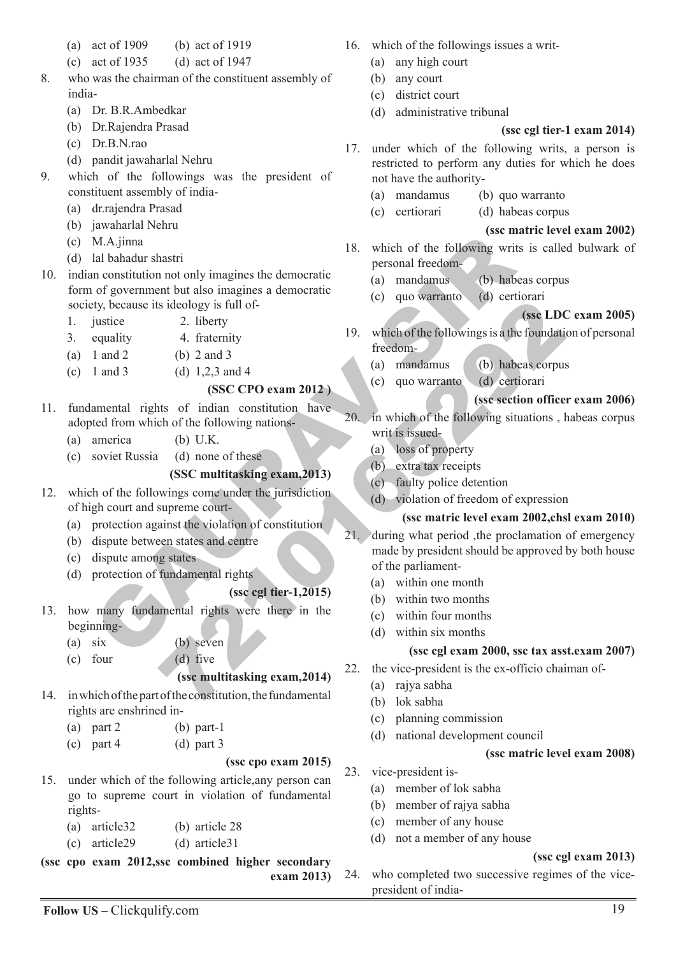- (a) act of 1909 (b) act of 1919
- (c) act of 1935 (d) act of 1947
- 8. who was the chairman of the constituent assembly of india-
	- (a) Dr. B.R.Ambedkar
	- (b) Dr.Rajendra Prasad
	- (c) Dr.B.N.rao
	- (d) pandit jawaharlal Nehru
- 9. which of the followings was the president of constituent assembly of india-
	- (a) dr.rajendra Prasad
	- (b) jawaharlal Nehru
	- (c) M.A.jinna
	- (d) lal bahadur shastri
- M.A.jinna<br>
all bahadur shastri<br>
all bahadur shastri<br>
of government but also imagines the democratic<br>
of government but also imagines a democratic<br>
of government but also imagines a democratic<br>
of government but also imagi 10. indian constitution not only imagines the democratic form of government but also imagines a democratic society, because its ideology is full of-
	- 1. justice 2. liberty
	- 3. equality 4. fraternity
	- (a)  $1$  and  $2$  (b)  $2$  and  $3$
	- (c) 1 and 3 (d)  $1,2,3$  and 4

# **(SSC CPO exam 2012 )**

- 11. fundamental rights of indian constitution have adopted from which of the following nations-
	- (a) america (b) U.K.
	- (c) soviet Russia (d) none of these

# **(SSC multitasking exam,2013)**

- 12. which of the followings come under the jurisdiction of high court and supreme court-
	- (a) protection against the violation of constitution
	- (b) dispute between states and centre
	- (c) dispute among states
	- (d) protection of fundamental rights

# **(ssc cgl tier-1,2015)**

- 13. how many fundamental rights were there in the beginning-
	- (a) six (b) seven

(c) four (d) five

# **(ssc multitasking exam,2014)**

- 14. in which of the part of the constitution, the fundamental rights are enshrined in-
	- (a) part 2 (b) part-1
	- (c) part 4 (d) part 3

#### **(ssc cpo exam 2015)**

- 15. under which of the following article,any person can go to supreme court in violation of fundamental rights-
	- (a) article32 (b) article 28
	- (c) article29 (d) article31

**(ssc cpo exam 2012,ssc combined higher secondary exam 2013)**

- 16. which of the followings issues a writ-
	- (a) any high court
	- (b) any court
	- (c) district court
	- (d) administrative tribunal

# **(ssc cgl tier-1 exam 2014)**

- 17. under which of the following writs, a person is restricted to perform any duties for which he does not have the authority-
	- (a) mandamus (b) quo warranto
	- (c) certiorari (d) habeas corpus

#### **(ssc matric level exam 2002)**

- 18. which of the following writs is called bulwark of personal freedom-
	- (a) mandamus (b) habeas corpus
	- (c) quo warranto (d) certiorari

#### **(ssc LDC exam 2005)**

- 19. which of the followings is a the foundation of personal freedom-
	- (a) mandamus (b) habeas corpus
	- (c) quo warranto (d) certiorari

#### **(ssc section officer exam 2006)**

- 20. in which of the following situations , habeas corpus writ is issued-
	- (a) loss of property
	- (b) extra tax receipts
	- (c) faulty police detention
	- (d) violation of freedom of expression

#### **(ssc matric level exam 2002,chsl exam 2010)**

- 18 ideology is full of<br>
2. liberty<br>
4. fractentity<br>
4. fractentity<br>
(b) 2 and 3<br>
(d) 1,2,3 and 4<br>
(SSC CPO exam 2012)<br>
(c) quo warrante (d) ecritorian<br>
(sse exection office<br>
the form constitution have<br>
(sse exection offic 21. during what period ,the proclamation of emergency made by president should be approved by both house of the parliament-
	- (a) within one month
	- (b) within two months
	- (c) within four months
	- (d) within six months

#### **(ssc cgl exam 2000, ssc tax asst.exam 2007)**

- 22. the vice-president is the ex-officio chaiman of-
	- (a) rajya sabha
	- (b) lok sabha
	- (c) planning commission
	- (d) national development council

#### **(ssc matric level exam 2008)**

- 23. vice-president is-
	- (a) member of lok sabha
	- (b) member of rajya sabha
	- (c) member of any house
	- (d) not a member of any house

#### **(ssc cgl exam 2013)**

24. who completed two successive regimes of the vicepresident of india-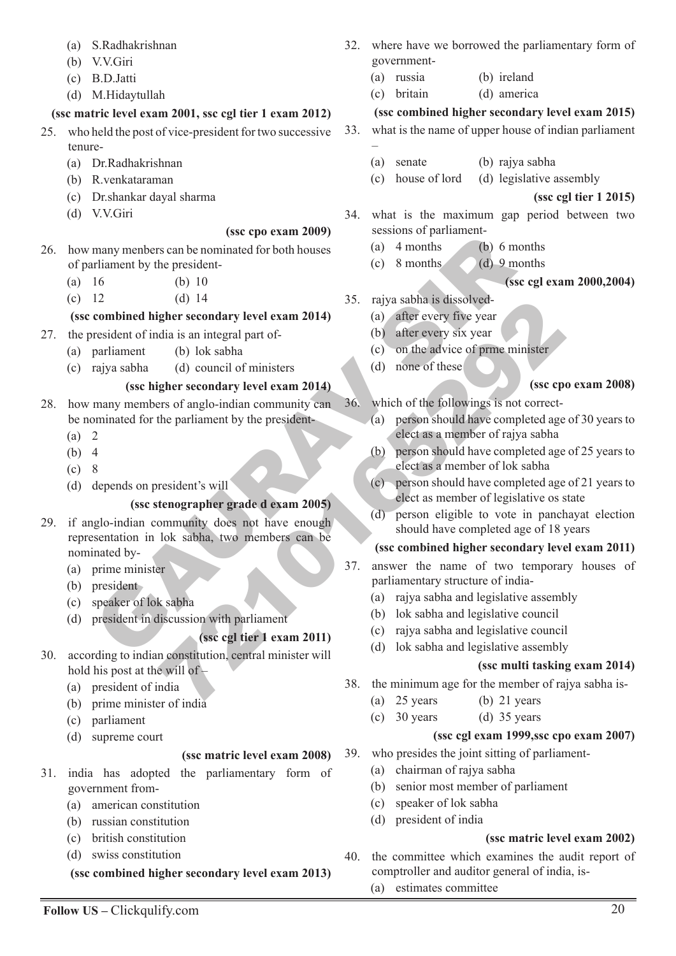- (a) S.Radhakrishnan
- (b) V.V.Giri
- (c) B.D.Jatti
- (d) M.Hidaytullah

# **(ssc matric level exam 2001, ssc cgl tier 1 exam 2012)**

- 25. who held the post of vice-president for two successive tenure-
	- (a) Dr.Radhakrishnan
	- (b) R.venkataraman
	- (c) Dr.shankar dayal sharma
	- (d) V.V.Giri

#### **(ssc cpo exam 2009)**

- 26. how many menbers can be nominated for both houses of parliament by the president-
	- (a) 16 (b) 10
	- (c) 12 (d) 14

# **(ssc combined higher secondary level exam 2014)**

- 27. the president of india is an integral part of-
	- (a) parliament (b) lok sabha
		- (c) rajya sabha (d) council of ministers

# **(ssc higher secondary level exam 2014)**

- 28. how many members of anglo-indian community can be nominated for the parliament by the president-
	- (a) 2
	- (b) 4
	- (c) 8
	- (d) depends on president's will

# **(ssc stenographer grade d exam 2005)**

- many menbers can be one exam 2005)<br>
The members can be nominal diffused by the president<br>
The condition of the partial part of the partial part of<br>
The condition of the secondary level exam 2014)<br>
(a) after every five yea (a) 14<br>
(a) the recondary level exam 2014)<br>
(a) after every five year<br>
(b) lok sabha<br>
(d) council of ministers<br>
(d) none of these<br>
(d) none of these<br>
(d) none of these<br>
(d) none of these<br>
(d) none of these<br>
(d) none of the 29. if anglo-indian community does not have enough representation in lok sabha, two members can be nominated by-
	- (a) prime minister
	- (b) president
	- (c) speaker of lok sabha
	- (d) president in discussion with parliament

#### **(ssc cgl tier 1 exam 2011)**

- 30. according to indian constitution, central minister will hold his post at the will of  $-$ 
	- (a) president of india
	- (b) prime minister of india
	- (c) parliament
	- (d) supreme court

# **(ssc matric level exam 2008)**

- 31. india has adopted the parliamentary form of government from-
	- (a) american constitution
	- (b) russian constitution
	- (c) british constitution
	- (d) swiss constitution
	- **(ssc combined higher secondary level exam 2013)**
- 32. where have we borrowed the parliamentary form of government-
	- (a) russia (b) ireland
	- (c) britain (d) america

# **(ssc combined higher secondary level exam 2015)**

- 33. what is the name of upper house of indian parliament –
	- (a) senate (b) rajya sabha
	- (c) house of lord (d) legislative assembly

**(ssc cgl tier 1 2015)**

- 34. what is the maximum gap period between two sessions of parliament-
	- (a) 4 months (b) 6 months
	- (c) 8 months (d) 9 months

#### **(ssc cgl exam 2000,2004)**

- 35. rajya sabha is dissolved-
	- (a) after every five year
	- (b) after every six year
	- (c) on the advice of prme minister
	- (d) none of these

#### **(ssc cpo exam 2008)**

- 36. which of the followings is not correct-
	- (a) person should have completed age of 30 years to elect as a member of rajya sabha
	- (b) person should have completed age of 25 years to elect as a member of lok sabha
	- (c) person should have completed age of 21 years to elect as member of legislative os state
	- (d) person eligible to vote in panchayat election should have completed age of 18 years

#### **(ssc combined higher secondary level exam 2011)**

- 37. answer the name of two temporary houses of parliamentary structure of india-
	- (a) rajya sabha and legislative assembly
	- (b) lok sabha and legislative council
	- (c) rajya sabha and legislative council
	- (d) lok sabha and legislative assembly

#### **(ssc multi tasking exam 2014)**

- 38. the minimum age for the member of rajya sabha is-
	- (a) 25 years (b) 21 years
	- (c)  $30 \text{ years}$  (d)  $35 \text{ years}$

#### **(ssc cgl exam 1999,ssc cpo exam 2007)**

- 39. who presides the joint sitting of parliament-
	- (a) chairman of rajya sabha
	- (b) senior most member of parliament
	- (c) speaker of lok sabha
	- (d) president of india

#### **(ssc matric level exam 2002)**

- 40. the committee which examines the audit report of comptroller and auditor general of india, is-
	- (a) estimates committee